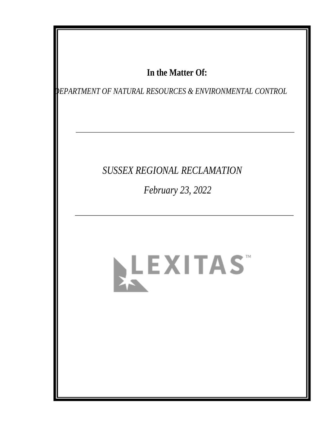## In the Matter Of:

EPARTMENT OF NATURAL RESOURCES & ENVIRONMENTAL CONTROL

## SUSSEX REGIONAL RECLAMATION

February 23, 2022

# LEXITAS"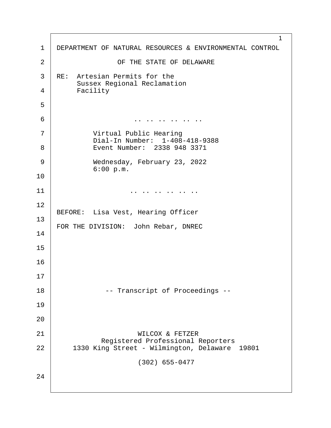1 1 DEPARTMENT OF NATURAL RESOURCES & ENVIRONMENTAL CONTROL 2 | CF THE STATE OF DELAWARE 3 | RE: Artesian Permits for the Sussex Regional Reclamation 4 Facility ·5 ·6· · · · · · · · · · · .. .. .. .. .. .. 7 | **Wirtual Public Hearing** Dial-In Number: 1-408-418-9388 8 | Event Number: 2338 948 3371 ·9· · · · · · Wednesday, February 23, 2022  $6:00 p.m.$ 10  $11$   $\vert$ 12 BEFORE: Lisa Vest, Hearing Officer 13 FOR THE DIVISION: John Rebar, DNREC 14 15 16 17 18· · · · · · · ·-- Transcript of Proceedings -- 19 20 21 | WILCOX & FETZER Registered Professional Reporters |<br>22 1330 King Street - Wilmington, Delaware 1330 King Street - Wilmington, Delaware 19801  $(302)$  655-0477 24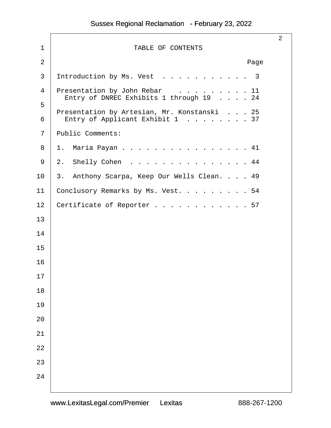|                |                                                                                | $\overline{2}$ |
|----------------|--------------------------------------------------------------------------------|----------------|
| $\mathbf 1$    | TABLE OF CONTENTS                                                              |                |
| $\overline{2}$ | Page                                                                           |                |
| 3              | Introduction by Ms. Vest 3                                                     |                |
| 4              | Presentation by John Rebar 11<br>Entry of DNREC Exhibits 1 through 19 24       |                |
| 5<br>6         | Presentation by Artesian, Mr. Konstanski 25<br>Entry of Applicant Exhibit 1 37 |                |
| 7              | Public Comments:                                                               |                |
| 8              | $1$ .<br>Maria Payan<br>41                                                     |                |
| 9              | $2$ .<br>Shelly Cohen<br>44                                                    |                |
| 10             | Anthony Scarpa, Keep Our Wells Clean. 49<br>3.                                 |                |
| 11             | Conclusory Remarks by Ms. Vest. 54                                             |                |
| 12             | Certificate of Reporter 57                                                     |                |
| 13             |                                                                                |                |
| 14             |                                                                                |                |
| 15             |                                                                                |                |
| 16             |                                                                                |                |
| 17             |                                                                                |                |
| 18             |                                                                                |                |
| 19             |                                                                                |                |
| 20             |                                                                                |                |
| 21             |                                                                                |                |
| 22             |                                                                                |                |
| 23             |                                                                                |                |
| 24             |                                                                                |                |
|                |                                                                                |                |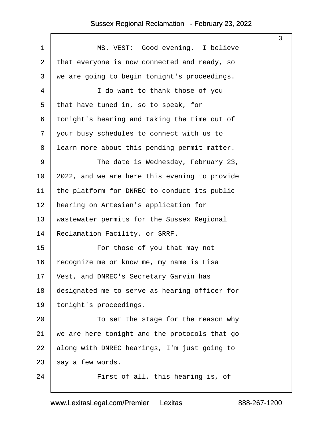$\sqrt{ }$ 

<span id="page-3-0"></span>

| $\mathbf 1$    | MS. VEST: Good evening. I believe             |
|----------------|-----------------------------------------------|
| $\overline{2}$ | that everyone is now connected and ready, so  |
| 3              | we are going to begin tonight's proceedings.  |
| 4              | I do want to thank those of you               |
| 5              | that have tuned in, so to speak, for          |
| 6              | tonight's hearing and taking the time out of  |
| 7              | your busy schedules to connect with us to     |
| 8              | learn more about this pending permit matter.  |
| 9              | The date is Wednesday, February 23,           |
| 10             | 2022, and we are here this evening to provide |
| 11             | the platform for DNREC to conduct its public  |
| 12             | hearing on Artesian's application for         |
| 13             | wastewater permits for the Sussex Regional    |
| 14             | Reclamation Facility, or SRRF.                |
| 15             | For those of you that may not                 |
| 16             | recognize me or know me, my name is Lisa      |
| 17             | Vest, and DNREC's Secretary Garvin has        |
| 18             | designated me to serve as hearing officer for |
| 19             | tonight's proceedings.                        |
| 20             | To set the stage for the reason why           |
| 21             | we are here tonight and the protocols that go |
| 22             | along with DNREC hearings, I'm just going to  |
| 23             | say a few words.                              |
|                |                                               |

3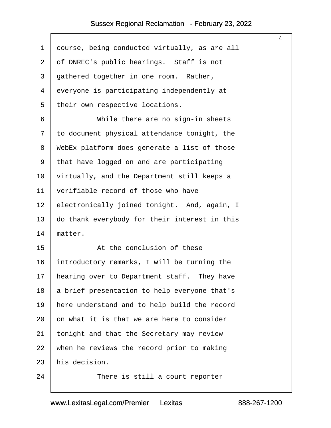<span id="page-4-0"></span>

| $\mathbf 1$    | course, being conducted virtually, as are all |
|----------------|-----------------------------------------------|
| $\overline{a}$ | of DNREC's public hearings. Staff is not      |
| 3              | gathered together in one room. Rather,        |
| $\overline{4}$ | everyone is participating independently at    |
| 5              | their own respective locations.               |
| 6              | While there are no sign-in sheets             |
| 7              | to document physical attendance tonight, the  |
| 8              | WebEx platform does generate a list of those  |
| 9              | that have logged on and are participating     |
| 10             | virtually, and the Department still keeps a   |
| 11             | verifiable record of those who have           |
| 12             | electronically joined tonight. And, again, I  |
| 13             | do thank everybody for their interest in this |
| 14             | matter.                                       |
| 15             | At the conclusion of these                    |
| 16             | introductory remarks, I will be turning the   |
| 17             | hearing over to Department staff. They have   |
| 18             | a brief presentation to help everyone that's  |
| 19             | here understand and to help build the record  |
| 20             | on what it is that we are here to consider    |
| 21             | tonight and that the Secretary may review     |
| 22             | when he reviews the record prior to making    |
| 23             | his decision.                                 |
| 24             | There is still a court reporter               |

4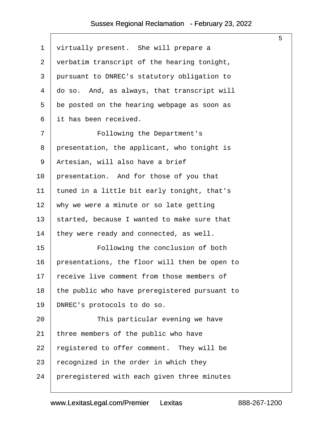$\sqrt{2}$ 

<span id="page-5-0"></span>

|                |                                               | 5 |
|----------------|-----------------------------------------------|---|
| $\mathbf 1$    | virtually present. She will prepare a         |   |
| $\overline{2}$ | verbatim transcript of the hearing tonight,   |   |
| 3              | pursuant to DNREC's statutory obligation to   |   |
| 4              | do so. And, as always, that transcript will   |   |
| 5              | be posted on the hearing webpage as soon as   |   |
| 6              | it has been received.                         |   |
| 7              | Following the Department's                    |   |
| 8              | presentation, the applicant, who tonight is   |   |
| 9              | Artesian, will also have a brief              |   |
| 10             | presentation. And for those of you that       |   |
| 11             | tuned in a little bit early tonight, that's   |   |
| 12             | why we were a minute or so late getting       |   |
| 13             | started, because I wanted to make sure that   |   |
| 14             | they were ready and connected, as well.       |   |
| 15             | Following the conclusion of both              |   |
| 16             | presentations, the floor will then be open to |   |
| 17             | receive live comment from those members of    |   |
| 18             | the public who have preregistered pursuant to |   |
| 19             | DNREC's protocols to do so.                   |   |
| 20             | This particular evening we have               |   |
| 21             | three members of the public who have          |   |
| 22             | registered to offer comment. They will be     |   |
| 23             | recognized in the order in which they         |   |
| 24             | preregistered with each given three minutes   |   |
|                |                                               |   |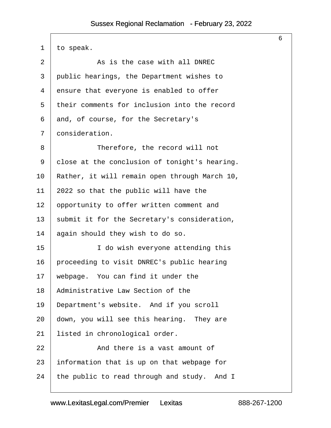<span id="page-6-0"></span>

|                |                                               | 6 |
|----------------|-----------------------------------------------|---|
| 1              | to speak.                                     |   |
| $\overline{2}$ | As is the case with all DNREC                 |   |
| 3              | public hearings, the Department wishes to     |   |
| 4              | ensure that everyone is enabled to offer      |   |
| 5              | their comments for inclusion into the record  |   |
| 6              | and, of course, for the Secretary's           |   |
| 7              | consideration.                                |   |
| 8              | Therefore, the record will not                |   |
| 9              | close at the conclusion of tonight's hearing. |   |
| 10             | Rather, it will remain open through March 10, |   |
| 11             | 2022 so that the public will have the         |   |
| 12             | opportunity to offer written comment and      |   |
| 13             | submit it for the Secretary's consideration,  |   |
| 14             | again should they wish to do so.              |   |
| 15             | I do wish everyone attending this             |   |
| 16             | proceeding to visit DNREC's public hearing    |   |
| 17             | webpage. You can find it under the            |   |
| 18             | Administrative Law Section of the             |   |
| 19             | Department's website. And if you scroll       |   |
| 20             | down, you will see this hearing. They are     |   |
| 21             | listed in chronological order.                |   |
| 22             | And there is a vast amount of                 |   |
| 23             | information that is up on that webpage for    |   |
| 24             | the public to read through and study. And I   |   |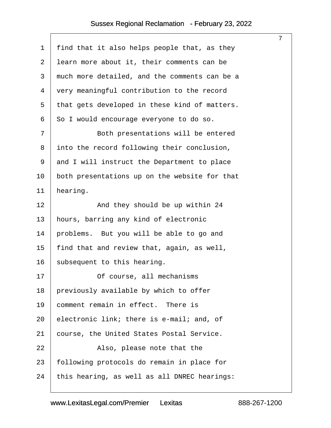<span id="page-7-0"></span>

|         |                                               | $\overline{7}$ |
|---------|-----------------------------------------------|----------------|
| 1       | find that it also helps people that, as they  |                |
| 2       | learn more about it, their comments can be    |                |
| 3       | much more detailed, and the comments can be a |                |
| 4       | very meaningful contribution to the record    |                |
| 5       | that gets developed in these kind of matters. |                |
| 6       | So I would encourage everyone to do so.       |                |
| 7       | Both presentations will be entered            |                |
| 8       | into the record following their conclusion,   |                |
| 9       | and I will instruct the Department to place   |                |
| $10 \,$ | both presentations up on the website for that |                |
| 11      | hearing.                                      |                |
| 12      | And they should be up within 24               |                |
| 13      | hours, barring any kind of electronic         |                |
| 14      | problems. But you will be able to go and      |                |
| 15      | find that and review that, again, as well,    |                |
| 16      | subsequent to this hearing.                   |                |
| 17      | Of course, all mechanisms                     |                |
| 18      | previously available by which to offer        |                |
| 19      | comment remain in effect. There is            |                |
| 20      | electronic link; there is e-mail; and, of     |                |
| 21      | course, the United States Postal Service.     |                |
| 22      | Also, please note that the                    |                |
| 23      | following protocols do remain in place for    |                |
| 24      | this hearing, as well as all DNREC hearings:  |                |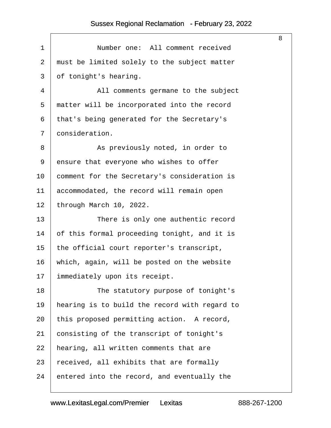<span id="page-8-0"></span>

| $\mathbf 1$ | Number one: All comment received              |
|-------------|-----------------------------------------------|
| 2           | must be limited solely to the subject matter  |
| 3           | of tonight's hearing.                         |
| 4           | All comments germane to the subject           |
| 5           | matter will be incorporated into the record   |
| 6           | that's being generated for the Secretary's    |
| 7           | consideration.                                |
| 8           | As previously noted, in order to              |
| 9           | ensure that everyone who wishes to offer      |
| 10          | comment for the Secretary's consideration is  |
| 11          | accommodated, the record will remain open     |
| 12          | through March 10, 2022.                       |
| 13          | There is only one authentic record            |
| 14          | of this formal proceeding tonight, and it is  |
| 15          | the official court reporter's transcript,     |
| 16          | which, again, will be posted on the website   |
| 17          | immediately upon its receipt.                 |
| 18          | The statutory purpose of tonight's            |
| 19          | hearing is to build the record with regard to |
| 20          | this proposed permitting action. A record,    |
| 21          | consisting of the transcript of tonight's     |
| 22          | hearing, all written comments that are        |
| 23          | received, all exhibits that are formally      |
| 24          | entered into the record, and eventually the   |

8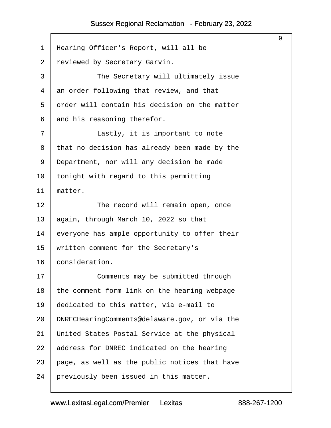<span id="page-9-0"></span>

| $\mathbf 1$    | Hearing Officer's Report, will all be         |
|----------------|-----------------------------------------------|
| $\overline{2}$ | reviewed by Secretary Garvin.                 |
| 3              | The Secretary will ultimately issue           |
| 4              | an order following that review, and that      |
| 5              | order will contain his decision on the matter |
| 6              | and his reasoning therefor.                   |
| 7              | Lastly, it is important to note               |
| 8              | that no decision has already been made by the |
| 9              | Department, nor will any decision be made     |
| 10             | tonight with regard to this permitting        |
| 11             | matter.                                       |
| 12             | The record will remain open, once             |
| 13             | again, through March 10, 2022 so that         |
| 14             | everyone has ample opportunity to offer their |
| 15             | written comment for the Secretary's           |
| 16             | consideration.                                |
| 17             | Comments may be submitted through             |
| 18             | the comment form link on the hearing webpage  |
| 19             | dedicated to this matter, via e-mail to       |
| 20             | DNRECHearingComments@delaware.gov, or via the |
| 21             | United States Postal Service at the physical  |
| 22             | address for DNREC indicated on the hearing    |
| 23             | page, as well as the public notices that have |
| 24             | previously been issued in this matter.        |

9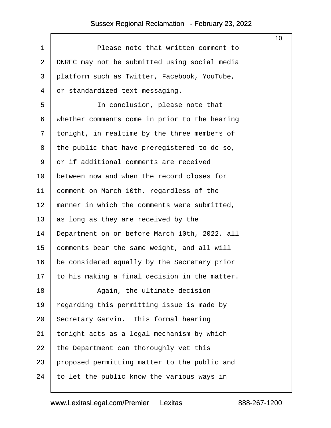$\sqrt{ }$ 

<span id="page-10-0"></span>

|                |                                               | 10 |
|----------------|-----------------------------------------------|----|
| $\mathbf 1$    | Please note that written comment to           |    |
| $\overline{a}$ | DNREC may not be submitted using social media |    |
| 3              | platform such as Twitter, Facebook, YouTube,  |    |
| 4              | or standardized text messaging.               |    |
| 5              | In conclusion, please note that               |    |
| 6              | whether comments come in prior to the hearing |    |
| 7              | tonight, in realtime by the three members of  |    |
| 8              | the public that have preregistered to do so,  |    |
| 9              | or if additional comments are received        |    |
| 10             | between now and when the record closes for    |    |
| 11             | comment on March 10th, regardless of the      |    |
| 12             | manner in which the comments were submitted,  |    |
| 13             | as long as they are received by the           |    |
| 14             | Department on or before March 10th, 2022, all |    |
| 15             | comments bear the same weight, and all will   |    |
| 16             | be considered equally by the Secretary prior  |    |
| 17             | to his making a final decision in the matter. |    |
| 18             | Again, the ultimate decision                  |    |
| 19             | regarding this permitting issue is made by    |    |
| 20             | Secretary Garvin. This formal hearing         |    |
| 21             | tonight acts as a legal mechanism by which    |    |
| 22             | the Department can thoroughly vet this        |    |
| 23             | proposed permitting matter to the public and  |    |
| 24             | to let the public know the various ways in    |    |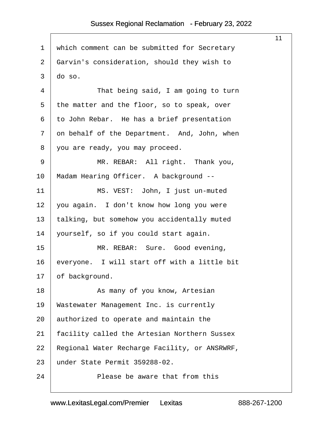<span id="page-11-0"></span>

|                |                                               | 11 |
|----------------|-----------------------------------------------|----|
| $\mathbf 1$    | which comment can be submitted for Secretary  |    |
| $\overline{2}$ | Garvin's consideration, should they wish to   |    |
| 3              | do so.                                        |    |
| 4              | That being said, I am going to turn           |    |
| 5              | the matter and the floor, so to speak, over   |    |
| 6              | to John Rebar. He has a brief presentation    |    |
| 7              | on behalf of the Department. And, John, when  |    |
| 8              | you are ready, you may proceed.               |    |
| 9              | MR. REBAR: All right. Thank you,              |    |
| 10             | Madam Hearing Officer. A background --        |    |
| 11             | MS. VEST: John, I just un-muted               |    |
| 12             | you again. I don't know how long you were     |    |
| 13             | talking, but somehow you accidentally muted   |    |
| 14             | yourself, so if you could start again.        |    |
| 15             | MR. REBAR: Sure. Good evening,                |    |
| 16             | everyone. I will start off with a little bit  |    |
| 17             | of background.                                |    |
| 18             | As many of you know, Artesian                 |    |
| 19             | Wastewater Management Inc. is currently       |    |
| 20             | authorized to operate and maintain the        |    |
| 21             | facility called the Artesian Northern Sussex  |    |
| 22             | Regional Water Recharge Facility, or ANSRWRF, |    |
| 23             | under State Permit 359288-02.                 |    |
| 24             | Please be aware that from this                |    |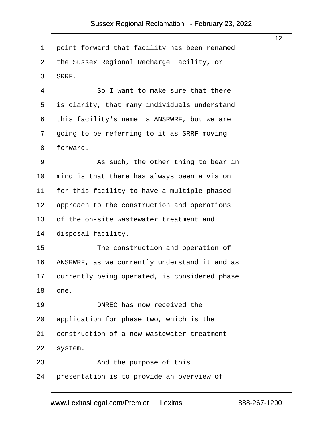$\sqrt{ }$ 

<span id="page-12-0"></span>

|    |                                               | 12 <sup>°</sup> |
|----|-----------------------------------------------|-----------------|
| 1  | point forward that facility has been renamed  |                 |
| 2  | the Sussex Regional Recharge Facility, or     |                 |
| 3  | SRRF.                                         |                 |
| 4  | So I want to make sure that there             |                 |
| 5  | is clarity, that many individuals understand  |                 |
| 6  | this facility's name is ANSRWRF, but we are   |                 |
| 7  | going to be referring to it as SRRF moving    |                 |
| 8  | forward.                                      |                 |
| 9  | As such, the other thing to bear in           |                 |
| 10 | mind is that there has always been a vision   |                 |
| 11 | for this facility to have a multiple-phased   |                 |
| 12 | approach to the construction and operations   |                 |
| 13 | of the on-site wastewater treatment and       |                 |
| 14 | disposal facility.                            |                 |
| 15 | The construction and operation of             |                 |
| 16 | ANSRWRF, as we currently understand it and as |                 |
| 17 | currently being operated, is considered phase |                 |
| 18 | one.                                          |                 |
| 19 | DNREC has now received the                    |                 |
| 20 | application for phase two, which is the       |                 |
| 21 | construction of a new wastewater treatment    |                 |
| 22 | system.                                       |                 |
| 23 | And the purpose of this                       |                 |
| 24 | presentation is to provide an overview of     |                 |
|    |                                               |                 |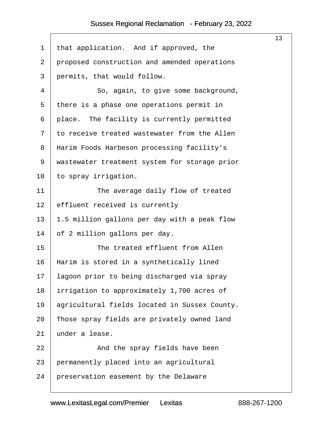<span id="page-13-0"></span>

|         |                                               | 13 |
|---------|-----------------------------------------------|----|
| 1       | that application. And if approved, the        |    |
| 2       | proposed construction and amended operations  |    |
| 3       | permits, that would follow.                   |    |
| 4       | So, again, to give some background,           |    |
| 5       | there is a phase one operations permit in     |    |
| 6       | place. The facility is currently permitted    |    |
| 7       | to receive treated wastewater from the Allen  |    |
| 8       | Harim Foods Harbeson processing facility's    |    |
| 9       | wastewater treatment system for storage prior |    |
| $10 \,$ | to spray irrigation.                          |    |
| 11      | The average daily flow of treated             |    |
| 12      | effluent received is currently                |    |
| 13      | 1.5 million gallons per day with a peak flow  |    |
| 14      | of 2 million gallons per day.                 |    |
| 15      | The treated effluent from Allen               |    |
| 16      | Harim is stored in a synthetically lined      |    |
| 17      | lagoon prior to being discharged via spray    |    |
| 18      | irrigation to approximately 1,700 acres of    |    |
| 19      | agricultural fields located in Sussex County. |    |
| 20      | Those spray fields are privately owned land   |    |
| 21      | under a lease.                                |    |
| 22      | And the spray fields have been                |    |
| 23      | permanently placed into an agricultural       |    |
| 24      | preservation easement by the Delaware         |    |
|         |                                               |    |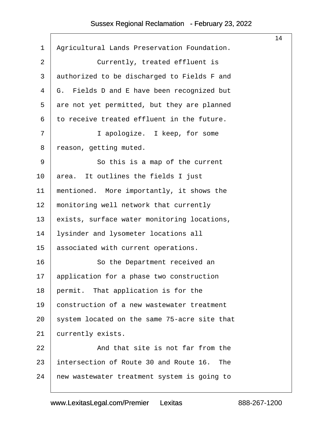<span id="page-14-0"></span>

|              |                                               | 14 |
|--------------|-----------------------------------------------|----|
| $\mathbf{1}$ | Agricultural Lands Preservation Foundation.   |    |
| 2            | Currently, treated effluent is                |    |
| 3            | authorized to be discharged to Fields F and   |    |
| 4            | G. Fields D and E have been recognized but    |    |
| 5            | are not yet permitted, but they are planned   |    |
| 6            | to receive treated effluent in the future.    |    |
| 7            | I apologize. I keep, for some                 |    |
| 8            | reason, getting muted.                        |    |
| 9            | So this is a map of the current               |    |
| 10           | area. It outlines the fields I just           |    |
| 11           | mentioned. More importantly, it shows the     |    |
| 12           | monitoring well network that currently        |    |
| 13           | exists, surface water monitoring locations,   |    |
| 14           | lysinder and lysometer locations all          |    |
| 15           | associated with current operations.           |    |
| 16           | So the Department received an                 |    |
| 17           | application for a phase two construction      |    |
| 18           | permit. That application is for the           |    |
| 19           | construction of a new wastewater treatment    |    |
| 20           | system located on the same 75-acre site that  |    |
| 21           | currently exists.                             |    |
| 22           | And that site is not far from the             |    |
| 23           | intersection of Route 30 and Route 16.<br>The |    |
| 24           | new wastewater treatment system is going to   |    |
|              |                                               |    |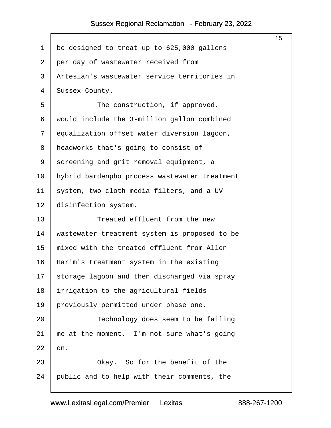<span id="page-15-0"></span>

|                |                                               | 15 <sub>1</sub> |
|----------------|-----------------------------------------------|-----------------|
| 1              | be designed to treat up to 625,000 gallons    |                 |
| $\overline{2}$ | per day of wastewater received from           |                 |
| 3              | Artesian's wastewater service territories in  |                 |
| 4              | Sussex County.                                |                 |
| 5              | The construction, if approved,                |                 |
| 6              | would include the 3-million gallon combined   |                 |
| 7              | equalization offset water diversion lagoon,   |                 |
| 8              | headworks that's going to consist of          |                 |
| 9              | screening and grit removal equipment, a       |                 |
| 10             | hybrid bardenpho process wastewater treatment |                 |
| 11             | system, two cloth media filters, and a UV     |                 |
| 12             | disinfection system.                          |                 |
| 13             | Treated effluent from the new                 |                 |
| 14             | wastewater treatment system is proposed to be |                 |
| 15             | mixed with the treated effluent from Allen    |                 |
| 16             | Harim's treatment system in the existing      |                 |
| 17             | storage lagoon and then discharged via spray  |                 |
| 18             | irrigation to the agricultural fields         |                 |
| 19             | previously permitted under phase one.         |                 |
| 20             | Technology does seem to be failing            |                 |
| 21             | me at the moment. I'm not sure what's going   |                 |
| 22             | on.                                           |                 |
| 23             | Okay. So for the benefit of the               |                 |
| 24             | public and to help with their comments, the   |                 |
|                |                                               |                 |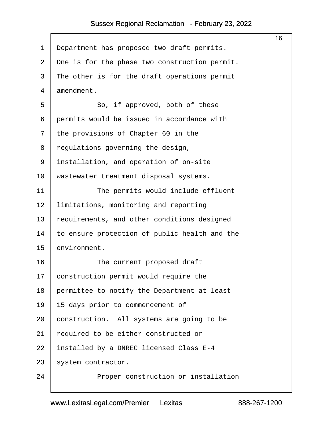<span id="page-16-0"></span>

|    |                                               | 16 |
|----|-----------------------------------------------|----|
| 1  | Department has proposed two draft permits.    |    |
| 2  | One is for the phase two construction permit. |    |
| 3  | The other is for the draft operations permit  |    |
| 4  | amendment.                                    |    |
| 5  | So, if approved, both of these                |    |
| 6  | permits would be issued in accordance with    |    |
| 7  | the provisions of Chapter 60 in the           |    |
| 8  | regulations governing the design,             |    |
| 9  | installation, and operation of on-site        |    |
| 10 | wastewater treatment disposal systems.        |    |
| 11 | The permits would include effluent            |    |
| 12 | limitations, monitoring and reporting         |    |
| 13 | requirements, and other conditions designed   |    |
| 14 | to ensure protection of public health and the |    |
| 15 | environment.                                  |    |
| 16 | The current proposed draft                    |    |
| 17 | construction permit would require the         |    |
| 18 | permittee to notify the Department at least   |    |
| 19 | 15 days prior to commencement of              |    |
| 20 | construction. All systems are going to be     |    |
| 21 | required to be either constructed or          |    |
| 22 | installed by a DNREC licensed Class E-4       |    |
| 23 | system contractor.                            |    |
| 24 | Proper construction or installation           |    |
|    |                                               |    |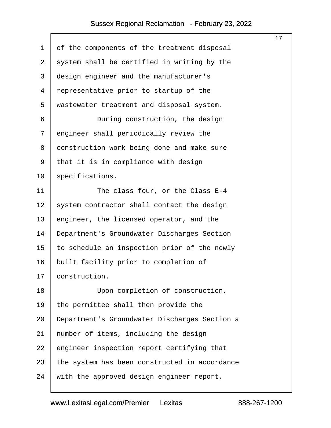<span id="page-17-0"></span>

|                |                                               | 17 |
|----------------|-----------------------------------------------|----|
| $\mathbf 1$    | of the components of the treatment disposal   |    |
| $\overline{2}$ | system shall be certified in writing by the   |    |
| 3              | design engineer and the manufacturer's        |    |
| 4              | representative prior to startup of the        |    |
| 5              | wastewater treatment and disposal system.     |    |
| 6              | During construction, the design               |    |
| 7              | engineer shall periodically review the        |    |
| 8              | construction work being done and make sure    |    |
| 9              | that it is in compliance with design          |    |
| 10             | specifications.                               |    |
| 11             | The class four, or the Class E-4              |    |
| 12             | system contractor shall contact the design    |    |
| 13             | engineer, the licensed operator, and the      |    |
| 14             | Department's Groundwater Discharges Section   |    |
| 15             | to schedule an inspection prior of the newly  |    |
| 16             | built facility prior to completion of         |    |
| 17             | construction.                                 |    |
| 18             | Upon completion of construction,              |    |
| 19             | the permittee shall then provide the          |    |
| 20             | Department's Groundwater Discharges Section a |    |
| 21             | number of items, including the design         |    |
| 22             | engineer inspection report certifying that    |    |
| 23             | the system has been constructed in accordance |    |
| 24             | with the approved design engineer report,     |    |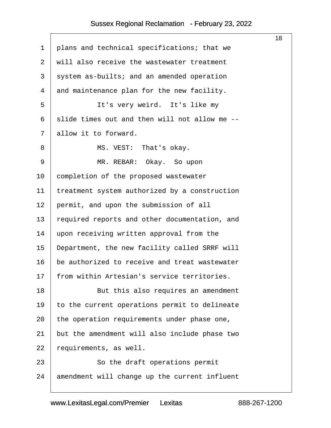<span id="page-18-0"></span>

|    |                                               | 18 |
|----|-----------------------------------------------|----|
| 1  | plans and technical specifications; that we   |    |
| 2  | will also receive the wastewater treatment    |    |
| 3  | system as-builts; and an amended operation    |    |
| 4  | and maintenance plan for the new facility.    |    |
| 5  | It's very weird. It's like my                 |    |
| 6  | slide times out and then will not allow me -- |    |
| 7  | allow it to forward.                          |    |
| 8  | MS. VEST: That's okay.                        |    |
| 9  | MR. REBAR: Okay. So upon                      |    |
| 10 | completion of the proposed wastewater         |    |
| 11 | treatment system authorized by a construction |    |
| 12 | permit, and upon the submission of all        |    |
| 13 | required reports and other documentation, and |    |
| 14 | upon receiving written approval from the      |    |
| 15 | Department, the new facility called SRRF will |    |
| 16 | be authorized to receive and treat wastewater |    |
| 17 | from within Artesian's service territories.   |    |
| 18 | But this also requires an amendment           |    |
| 19 | to the current operations permit to delineate |    |
| 20 | the operation requirements under phase one,   |    |
| 21 | but the amendment will also include phase two |    |
| 22 | requirements, as well.                        |    |
| 23 | So the draft operations permit                |    |
| 24 | amendment will change up the current influent |    |
|    |                                               |    |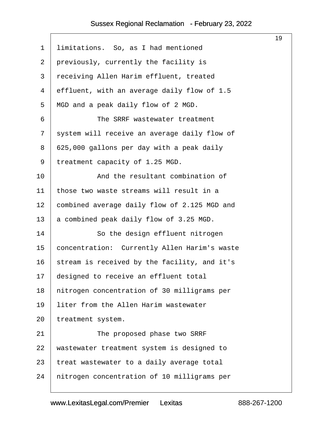<span id="page-19-0"></span>

|                                              | 19 |
|----------------------------------------------|----|
| limitations. So, as I had mentioned          |    |
| previously, currently the facility is        |    |
| receiving Allen Harim effluent, treated      |    |
| effluent, with an average daily flow of 1.5  |    |
| MGD and a peak daily flow of 2 MGD.          |    |
| The SRRF wastewater treatment                |    |
| system will receive an average daily flow of |    |
| 625,000 gallons per day with a peak daily    |    |
| treatment capacity of 1.25 MGD.              |    |
| And the resultant combination of             |    |
| those two waste streams will result in a     |    |
| combined average daily flow of 2.125 MGD and |    |
| a combined peak daily flow of 3.25 MGD.      |    |
| So the design effluent nitrogen              |    |
| concentration: Currently Allen Harim's waste |    |
| stream is received by the facility, and it's |    |
| designed to receive an effluent total        |    |
| nitrogen concentration of 30 milligrams per  |    |
| liter from the Allen Harim wastewater        |    |
| treatment system.                            |    |
| The proposed phase two SRRF                  |    |
| wastewater treatment system is designed to   |    |
| treat wastewater to a daily average total    |    |
| nitrogen concentration of 10 milligrams per  |    |
|                                              |    |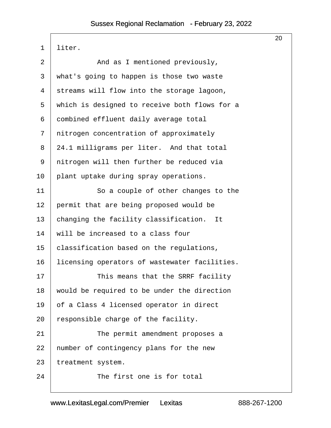<span id="page-20-0"></span>

|                |                                               | 20 |
|----------------|-----------------------------------------------|----|
| $\mathbf 1$    | liter.                                        |    |
| $\overline{2}$ | And as I mentioned previously,                |    |
| 3              | what's going to happen is those two waste     |    |
| $\overline{4}$ | streams will flow into the storage lagoon,    |    |
| 5              | which is designed to receive both flows for a |    |
| 6              | combined effluent daily average total         |    |
| 7              | nitrogen concentration of approximately       |    |
| 8              | 24.1 milligrams per liter. And that total     |    |
| 9              | nitrogen will then further be reduced via     |    |
| 10             | plant uptake during spray operations.         |    |
| 11             | So a couple of other changes to the           |    |
| 12             | permit that are being proposed would be       |    |
| 13             | changing the facility classification. It      |    |
| 14             | will be increased to a class four             |    |
| 15             | classification based on the regulations,      |    |
| 16             | licensing operators of wastewater facilities. |    |
| 17             | This means that the SRRF facility             |    |
| 18             | would be required to be under the direction   |    |
| 19             | of a Class 4 licensed operator in direct      |    |
| 20             | responsible charge of the facility.           |    |
| 21             | The permit amendment proposes a               |    |
| 22             | number of contingency plans for the new       |    |
| 23             | treatment system.                             |    |
| 24             | The first one is for total                    |    |
|                |                                               |    |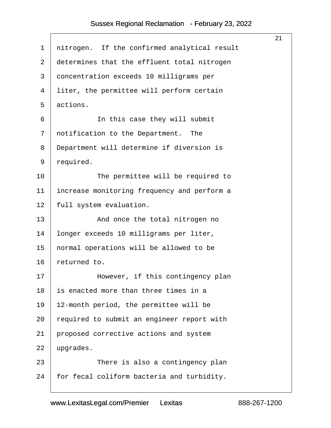<span id="page-21-0"></span>

|                                              | 21 |
|----------------------------------------------|----|
| nitrogen. If the confirmed analytical result |    |
| determines that the effluent total nitrogen  |    |
| concentration exceeds 10 milligrams per      |    |
| liter, the permittee will perform certain    |    |
| actions.                                     |    |
| In this case they will submit                |    |
| notification to the Department.<br>The       |    |
| Department will determine if diversion is    |    |
| required.                                    |    |
| The permittee will be required to            |    |
| increase monitoring frequency and perform a  |    |
| full system evaluation.                      |    |
| And once the total nitrogen no               |    |
| longer exceeds 10 milligrams per liter,      |    |
| normal operations will be allowed to be      |    |
| returned to.                                 |    |
| However, if this contingency plan            |    |
| is enacted more than three times in a        |    |
| 12-month period, the permittee will be       |    |
| required to submit an engineer report with   |    |
| proposed corrective actions and system       |    |
| upgrades.                                    |    |
| There is also a contingency plan             |    |
| for fecal coliform bacteria and turbidity.   |    |
|                                              |    |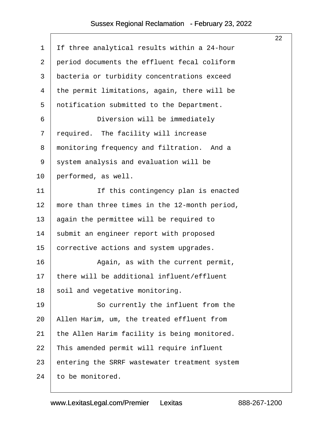<span id="page-22-0"></span>

|                |                                               | 22 |
|----------------|-----------------------------------------------|----|
| $\mathbf 1$    | If three analytical results within a 24-hour  |    |
| $\overline{2}$ | period documents the effluent fecal coliform  |    |
| 3              | bacteria or turbidity concentrations exceed   |    |
| 4              | the permit limitations, again, there will be  |    |
| 5              | notification submitted to the Department.     |    |
| 6              | Diversion will be immediately                 |    |
| 7              | required. The facility will increase          |    |
| 8              | monitoring frequency and filtration. And a    |    |
| 9              | system analysis and evaluation will be        |    |
| 10             | performed, as well.                           |    |
| 11             | If this contingency plan is enacted           |    |
| 12             | more than three times in the 12-month period, |    |
| 13             | again the permittee will be required to       |    |
| 14             | submit an engineer report with proposed       |    |
| 15             | corrective actions and system upgrades.       |    |
| 16             | Again, as with the current permit,            |    |
| 17             | there will be additional influent/effluent    |    |
| 18             | soil and vegetative monitoring.               |    |
| 19             | So currently the influent from the            |    |
| 20             | Allen Harim, um, the treated effluent from    |    |
| 21             | the Allen Harim facility is being monitored.  |    |
| 22             | This amended permit will require influent     |    |
| 23             | entering the SRRF wastewater treatment system |    |
| 24             | to be monitored.                              |    |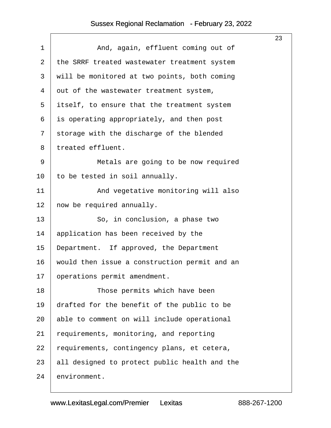<span id="page-23-0"></span>

|                |                                               | 23 |
|----------------|-----------------------------------------------|----|
| $\mathbf 1$    | And, again, effluent coming out of            |    |
| 2              | the SRRF treated wastewater treatment system  |    |
| 3              | will be monitored at two points, both coming  |    |
| $\overline{4}$ | out of the wastewater treatment system,       |    |
| 5              | itself, to ensure that the treatment system   |    |
| 6              | is operating appropriately, and then post     |    |
| 7              | storage with the discharge of the blended     |    |
| 8              | treated effluent.                             |    |
| 9              | Metals are going to be now required           |    |
| 10             | to be tested in soil annually.                |    |
| 11             | And vegetative monitoring will also           |    |
| 12             | now be required annually.                     |    |
| 13             | So, in conclusion, a phase two                |    |
| 14             | application has been received by the          |    |
| 15             | Department. If approved, the Department       |    |
| 16             | would then issue a construction permit and an |    |
| 17             | operations permit amendment.                  |    |
| 18             | Those permits which have been                 |    |
| 19             | drafted for the benefit of the public to be   |    |
| 20             | able to comment on will include operational   |    |
| 21             | requirements, monitoring, and reporting       |    |
| 22             | requirements, contingency plans, et cetera,   |    |
| 23             | all designed to protect public health and the |    |
| 24             | environment.                                  |    |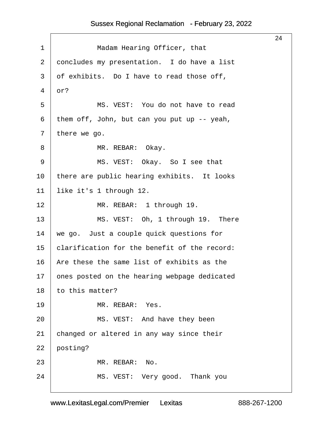<span id="page-24-0"></span>

|                                              | 24 |
|----------------------------------------------|----|
| Madam Hearing Officer, that                  |    |
| concludes my presentation. I do have a list  |    |
| of exhibits. Do I have to read those off,    |    |
| or?                                          |    |
| MS. VEST: You do not have to read            |    |
| them off, John, but can you put up $-$ yeah, |    |
| there we go.                                 |    |
| MR. REBAR: Okay.                             |    |
| MS. VEST: Okay. So I see that                |    |
| there are public hearing exhibits. It looks  |    |
| like it's 1 through 12.                      |    |
| MR. REBAR: 1 through 19.                     |    |
| MS. VEST: Oh, 1 through 19. There            |    |
| we go. Just a couple quick questions for     |    |
| clarification for the benefit of the record: |    |
| Are these the same list of exhibits as the   |    |
| ones posted on the hearing webpage dedicated |    |
| to this matter?                              |    |
| MR. REBAR: Yes.                              |    |
| MS. VEST: And have they been                 |    |
| changed or altered in any way since their    |    |
| posting?                                     |    |
| MR. REBAR: No.                               |    |
| MS. VEST: Very good. Thank you               |    |
|                                              |    |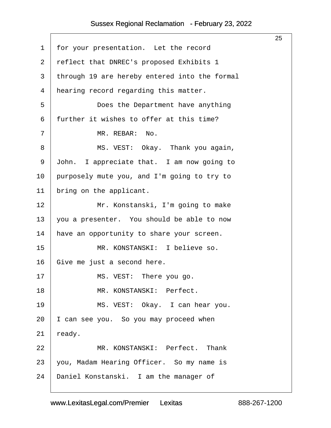<span id="page-25-0"></span>

|                |                                               | 25 |
|----------------|-----------------------------------------------|----|
| 1              | for your presentation. Let the record         |    |
| $\overline{2}$ | reflect that DNREC's proposed Exhibits 1      |    |
| $\mathfrak{Z}$ | through 19 are hereby entered into the formal |    |
| 4              | hearing record regarding this matter.         |    |
| 5              | Does the Department have anything             |    |
| 6              | further it wishes to offer at this time?      |    |
| 7              | MR. REBAR:<br>No.                             |    |
| 8              | MS. VEST: Okay. Thank you again,              |    |
| 9              | John. I appreciate that. I am now going to    |    |
| 10             | purposely mute you, and I'm going to try to   |    |
| 11             | bring on the applicant.                       |    |
| 12             | Mr. Konstanski, I'm going to make             |    |
| 13             | you a presenter. You should be able to now    |    |
| 14             | have an opportunity to share your screen.     |    |
| 15             | MR. KONSTANSKI: I believe so.                 |    |
| 16             | Give me just a second here.                   |    |
| 17             | MS. VEST: There you go.                       |    |
| 18             | MR. KONSTANSKI: Perfect.                      |    |
| 19             | MS. VEST: Okay. I can hear you.               |    |
| 20             | I can see you. So you may proceed when        |    |
| 21             | ready.                                        |    |
| 22             | MR. KONSTANSKI: Perfect. Thank                |    |
| 23             | you, Madam Hearing Officer. So my name is     |    |
| 24             | Daniel Konstanski. I am the manager of        |    |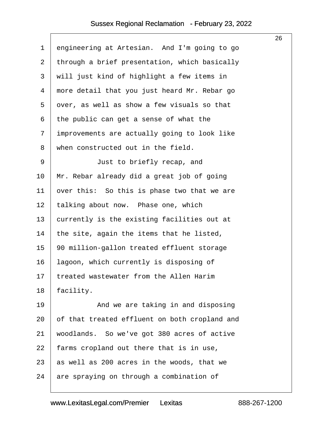<span id="page-26-0"></span>

|             |                                               | 26 |
|-------------|-----------------------------------------------|----|
| $\mathbf 1$ | engineering at Artesian. And I'm going to go  |    |
| 2           | through a brief presentation, which basically |    |
| 3           | will just kind of highlight a few items in    |    |
| 4           | more detail that you just heard Mr. Rebar go  |    |
| 5           | over, as well as show a few visuals so that   |    |
| 6           | the public can get a sense of what the        |    |
| 7           | improvements are actually going to look like  |    |
| 8           | when constructed out in the field.            |    |
| 9           | Just to briefly recap, and                    |    |
| 10          | Mr. Rebar already did a great job of going    |    |
| 11          | over this: So this is phase two that we are   |    |
| 12          | talking about now. Phase one, which           |    |
| 13          | currently is the existing facilities out at   |    |
| 14          | the site, again the items that he listed,     |    |
| 15          | 90 million-gallon treated effluent storage    |    |
| 16          | lagoon, which currently is disposing of       |    |
| $17$        | treated wastewater from the Allen Harim       |    |
| 18          | facility.                                     |    |
| 19          | And we are taking in and disposing            |    |
| 20          | of that treated effluent on both cropland and |    |
| 21          | woodlands. So we've got 380 acres of active   |    |
| 22          | farms cropland out there that is in use,      |    |
| 23          | as well as 200 acres in the woods, that we    |    |
| 24          | are spraying on through a combination of      |    |
|             |                                               |    |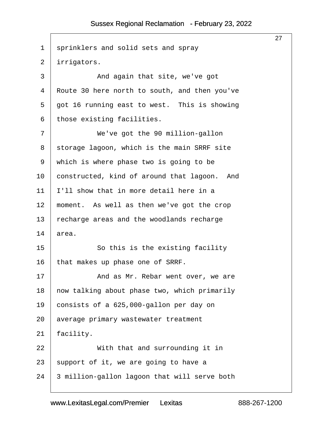<span id="page-27-0"></span>

|                |                                               | 27 |
|----------------|-----------------------------------------------|----|
| $\mathbf 1$    | sprinklers and solid sets and spray           |    |
| $\overline{2}$ | irrigators.                                   |    |
| 3              | And again that site, we've got                |    |
| 4              | Route 30 here north to south, and then you've |    |
| 5              | got 16 running east to west. This is showing  |    |
| 6              | those existing facilities.                    |    |
| 7              | We've got the 90 million-gallon               |    |
| 8              | storage lagoon, which is the main SRRF site   |    |
| 9              | which is where phase two is going to be       |    |
| 10             | constructed, kind of around that lagoon. And  |    |
| 11             | I'll show that in more detail here in a       |    |
| 12             | moment. As well as then we've got the crop    |    |
| 13             | recharge areas and the woodlands recharge     |    |
| 14             | area.                                         |    |
| 15             | So this is the existing facility              |    |
| 16             | that makes up phase one of SRRF.              |    |
| 17             | And as Mr. Rebar went over, we are            |    |
| 18             | now talking about phase two, which primarily  |    |
| 19             | consists of a 625,000-gallon per day on       |    |
| 20             | average primary wastewater treatment          |    |
| 21             | facility.                                     |    |
| 22             | With that and surrounding it in               |    |
| 23             | support of it, we are going to have a         |    |
| 24             | 3 million-gallon lagoon that will serve both  |    |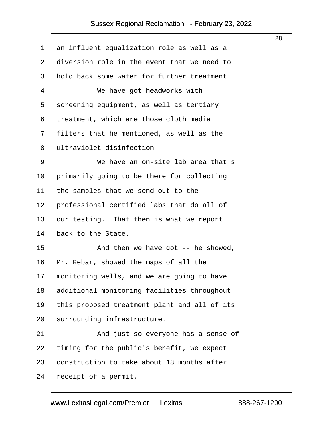<span id="page-28-0"></span>

|                |                                              | 28 |
|----------------|----------------------------------------------|----|
| 1              | an influent equalization role as well as a   |    |
| $\overline{2}$ | diversion role in the event that we need to  |    |
| 3              | hold back some water for further treatment.  |    |
| 4              | We have got headworks with                   |    |
| 5              | screening equipment, as well as tertiary     |    |
| 6              | treatment, which are those cloth media       |    |
| 7              | filters that he mentioned, as well as the    |    |
| 8              | ultraviolet disinfection.                    |    |
| 9              | We have an on-site lab area that's           |    |
| 10             | primarily going to be there for collecting   |    |
| 11             | the samples that we send out to the          |    |
| 12             | professional certified labs that do all of   |    |
| 13             | our testing. That then is what we report     |    |
| 14             | back to the State.                           |    |
| 15             | And then we have got $-$ - he showed,        |    |
| 16             | Mr. Rebar, showed the maps of all the        |    |
| 17             | monitoring wells, and we are going to have   |    |
| 18             | additional monitoring facilities throughout  |    |
| 19             | this proposed treatment plant and all of its |    |
| 20             | surrounding infrastructure.                  |    |
| 21             | And just so everyone has a sense of          |    |
| 22             | timing for the public's benefit, we expect   |    |
| 23             | construction to take about 18 months after   |    |
| 24             | receipt of a permit.                         |    |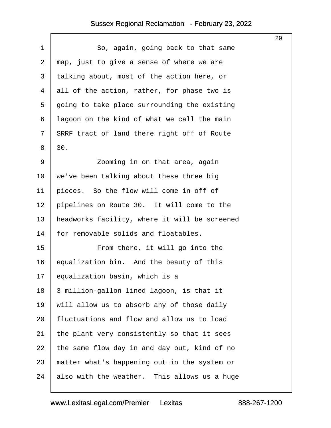$\sqrt{ }$ 

<span id="page-29-0"></span>

|                |                                               | 29 |
|----------------|-----------------------------------------------|----|
| $\mathbf 1$    | So, again, going back to that same            |    |
| $\overline{2}$ | map, just to give a sense of where we are     |    |
| $\mathfrak{Z}$ | talking about, most of the action here, or    |    |
| 4              | all of the action, rather, for phase two is   |    |
| 5              | going to take place surrounding the existing  |    |
| 6              | lagoon on the kind of what we call the main   |    |
| 7              | SRRF tract of land there right off of Route   |    |
| 8              | 30.                                           |    |
| 9              | Zooming in on that area, again                |    |
| 10             | we've been talking about these three big      |    |
| 11             | pieces. So the flow will come in off of       |    |
| 12             | pipelines on Route 30. It will come to the    |    |
| 13             | headworks facility, where it will be screened |    |
| 14             | for removable solids and floatables.          |    |
| 15             | From there, it will go into the               |    |
| 16             | equalization bin. And the beauty of this      |    |
| 17             | equalization basin, which is a                |    |
| 18             | 3 million-gallon lined lagoon, is that it     |    |
| 19             | will allow us to absorb any of those daily    |    |
| 20             | fluctuations and flow and allow us to load    |    |
| 21             | the plant very consistently so that it sees   |    |
| 22             | the same flow day in and day out, kind of no  |    |
| 23             | matter what's happening out in the system or  |    |
| 24             | also with the weather. This allows us a huge  |    |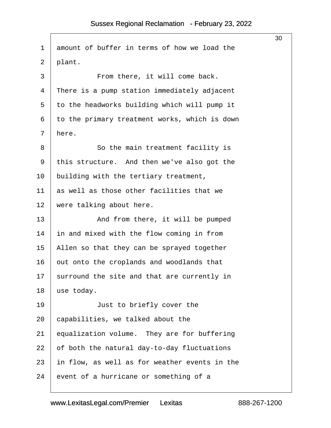<span id="page-30-0"></span>

| 1  | amount of buffer in terms of how we load the  |
|----|-----------------------------------------------|
| 2  | plant.                                        |
| 3  | From there, it will come back.                |
| 4  | There is a pump station immediately adjacent  |
| 5  | to the headworks building which will pump it  |
| 6  | to the primary treatment works, which is down |
| 7  | here.                                         |
| 8  | So the main treatment facility is             |
| 9  | this structure. And then we've also got the   |
| 10 | building with the tertiary treatment,         |
| 11 | as well as those other facilities that we     |
| 12 | were talking about here.                      |
| 13 | And from there, it will be pumped             |
| 14 | in and mixed with the flow coming in from     |
| 15 | Allen so that they can be sprayed together    |
| 16 | out onto the croplands and woodlands that     |
| 17 | surround the site and that are currently in   |
| 18 | use today.                                    |
| 19 | Just to briefly cover the                     |
| 20 | capabilities, we talked about the             |
| 21 | equalization volume. They are for buffering   |
| 22 | of both the natural day-to-day fluctuations   |
| 23 | in flow, as well as for weather events in the |
| 24 | event of a hurricane or something of a        |

30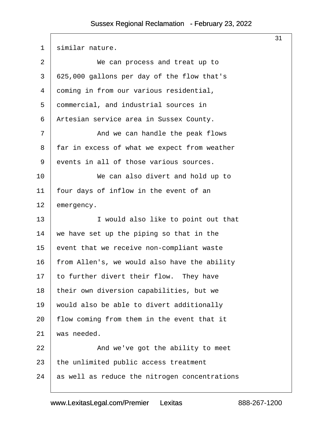<span id="page-31-0"></span>

| $\mathbf 1$    | similar nature.                               |
|----------------|-----------------------------------------------|
| $\overline{2}$ | We can process and treat up to                |
| 3              | 625,000 gallons per day of the flow that's    |
| 4              | coming in from our various residential,       |
| 5              | commercial, and industrial sources in         |
| 6              | Artesian service area in Sussex County.       |
| 7              | And we can handle the peak flows              |
| 8              | far in excess of what we expect from weather  |
| 9              | events in all of those various sources.       |
| 10             | We can also divert and hold up to             |
| 11             | four days of inflow in the event of an        |
| 12             | emergency.                                    |
| 13             | I would also like to point out that           |
| 14             | we have set up the piping so that in the      |
| 15             | event that we receive non-compliant waste     |
| 16             | from Allen's, we would also have the ability  |
| 17             | to further divert their flow. They have       |
| 18             | their own diversion capabilities, but we      |
| 19             | would also be able to divert additionally     |
| 20             | flow coming from them in the event that it    |
| 21             | was needed.                                   |
| 22             | And we've got the ability to meet             |
| 23             | the unlimited public access treatment         |
| 24             | as well as reduce the nitrogen concentrations |
|                |                                               |

31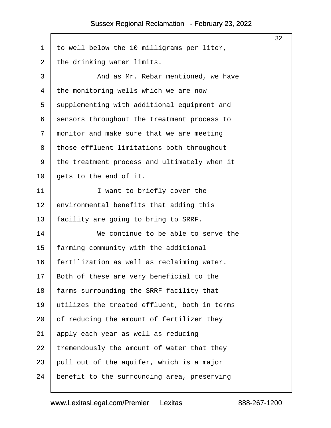<span id="page-32-0"></span>

|                |                                              | 32 |
|----------------|----------------------------------------------|----|
| $\mathbf 1$    | to well below the 10 milligrams per liter,   |    |
| $\overline{2}$ | the drinking water limits.                   |    |
| 3              | And as Mr. Rebar mentioned, we have          |    |
| 4              | the monitoring wells which we are now        |    |
| 5              | supplementing with additional equipment and  |    |
| 6              | sensors throughout the treatment process to  |    |
| 7              | monitor and make sure that we are meeting    |    |
| 8              | those effluent limitations both throughout   |    |
| 9              | the treatment process and ultimately when it |    |
| 10             | gets to the end of it.                       |    |
| 11             | I want to briefly cover the                  |    |
| 12             | environmental benefits that adding this      |    |
| 13             | facility are going to bring to SRRF.         |    |
| 14             | We continue to be able to serve the          |    |
| 15             | farming community with the additional        |    |
| 16             | fertilization as well as reclaiming water.   |    |
| 17             | Both of these are very beneficial to the     |    |
| 18             | farms surrounding the SRRF facility that     |    |
| 19             | utilizes the treated effluent, both in terms |    |
| 20             | of reducing the amount of fertilizer they    |    |
| 21             | apply each year as well as reducing          |    |
| 22             | tremendously the amount of water that they   |    |
| 23             | pull out of the aquifer, which is a major    |    |
| 24             | benefit to the surrounding area, preserving  |    |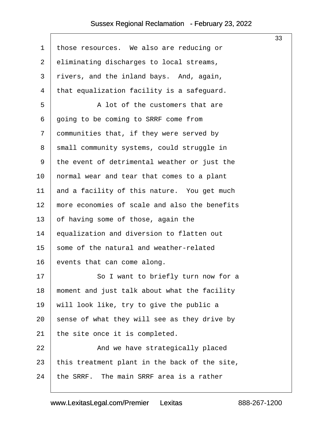<span id="page-33-0"></span>

|                |                                               | 33 |
|----------------|-----------------------------------------------|----|
| $\mathbf 1$    | those resources. We also are reducing or      |    |
| $\overline{2}$ | eliminating discharges to local streams,      |    |
| 3              | rivers, and the inland bays. And, again,      |    |
| 4              | that equalization facility is a safeguard.    |    |
| 5              | A lot of the customers that are               |    |
| 6              | going to be coming to SRRF come from          |    |
| 7              | communities that, if they were served by      |    |
| 8              | small community systems, could struggle in    |    |
| 9              | the event of detrimental weather or just the  |    |
| 10             | normal wear and tear that comes to a plant    |    |
| 11             | and a facility of this nature. You get much   |    |
| 12             | more economies of scale and also the benefits |    |
| 13             | of having some of those, again the            |    |
| 14             | equalization and diversion to flatten out     |    |
| 15             | some of the natural and weather-related       |    |
| 16             | events that can come along.                   |    |
| 17             | So I want to briefly turn now for a           |    |
| 18             | moment and just talk about what the facility  |    |
| 19             | will look like, try to give the public a      |    |
| 20             | sense of what they will see as they drive by  |    |
| 21             | the site once it is completed.                |    |
| 22             | And we have strategically placed              |    |
| 23             | this treatment plant in the back of the site, |    |
| 24             | the SRRF. The main SRRF area is a rather      |    |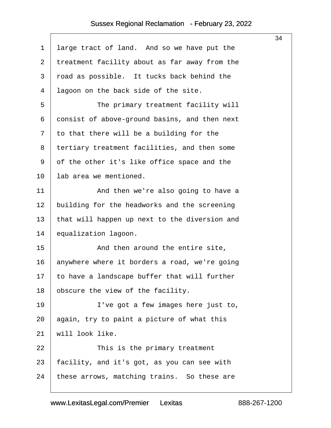<span id="page-34-0"></span>

|    |                                               | 34 |
|----|-----------------------------------------------|----|
| 1  | large tract of land. And so we have put the   |    |
| 2  | treatment facility about as far away from the |    |
| 3  | road as possible. It tucks back behind the    |    |
| 4  | lagoon on the back side of the site.          |    |
| 5  | The primary treatment facility will           |    |
| 6  | consist of above-ground basins, and then next |    |
| 7  | to that there will be a building for the      |    |
| 8  | tertiary treatment facilities, and then some  |    |
| 9  | of the other it's like office space and the   |    |
| 10 | lab area we mentioned.                        |    |
| 11 | And then we're also going to have a           |    |
| 12 | building for the headworks and the screening  |    |
| 13 | that will happen up next to the diversion and |    |
| 14 | equalization lagoon.                          |    |
| 15 | And then around the entire site,              |    |
| 16 | anywhere where it borders a road, we're going |    |
| 17 | to have a landscape buffer that will further  |    |
| 18 | obscure the view of the facility.             |    |
| 19 | I've got a few images here just to,           |    |
| 20 | again, try to paint a picture of what this    |    |
| 21 | will look like.                               |    |
| 22 | This is the primary treatment                 |    |
| 23 | facility, and it's got, as you can see with   |    |
| 24 | these arrows, matching trains. So these are   |    |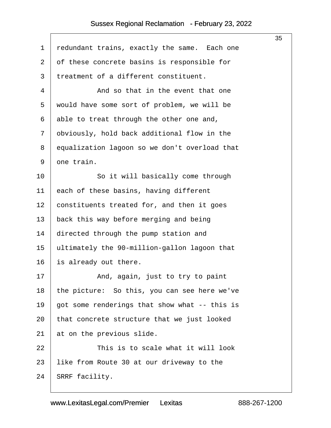<span id="page-35-0"></span>

|         |                                               | 35 |
|---------|-----------------------------------------------|----|
| 1       | redundant trains, exactly the same. Each one  |    |
| 2       | of these concrete basins is responsible for   |    |
| 3       | treatment of a different constituent.         |    |
| 4       | And so that in the event that one             |    |
| 5       | would have some sort of problem, we will be   |    |
| 6       | able to treat through the other one and,      |    |
| 7       | obviously, hold back additional flow in the   |    |
| 8       | equalization lagoon so we don't overload that |    |
| 9       | one train.                                    |    |
| $10 \,$ | So it will basically come through             |    |
| 11      | each of these basins, having different        |    |
| 12      | constituents treated for, and then it goes    |    |
| 13      | back this way before merging and being        |    |
| 14      | directed through the pump station and         |    |
| 15      | ultimately the 90-million-gallon lagoon that  |    |
| 16      | is already out there.                         |    |
| 17      | And, again, just to try to paint              |    |
| 18      | the picture: So this, you can see here we've  |    |
| 19      | got some renderings that show what -- this is |    |
| 20      | that concrete structure that we just looked   |    |
| 21      | at on the previous slide.                     |    |
| 22      | This is to scale what it will look            |    |
| 23      | like from Route 30 at our driveway to the     |    |
| 24      | SRRF facility.                                |    |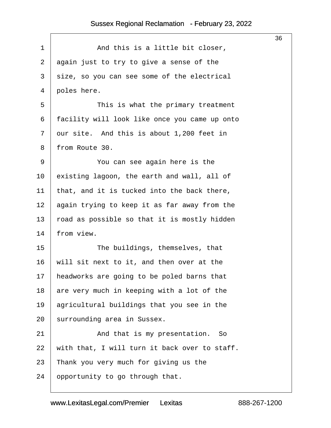<span id="page-36-0"></span>

|                                               | 36 |
|-----------------------------------------------|----|
| And this is a little bit closer,              |    |
| again just to try to give a sense of the      |    |
| size, so you can see some of the electrical   |    |
| poles here.                                   |    |
| This is what the primary treatment            |    |
| facility will look like once you came up onto |    |
| our site. And this is about 1,200 feet in     |    |
| from Route 30.                                |    |
| You can see again here is the                 |    |
| existing lagoon, the earth and wall, all of   |    |
| that, and it is tucked into the back there,   |    |
| again trying to keep it as far away from the  |    |
| road as possible so that it is mostly hidden  |    |
| from view.                                    |    |
| The buildings, themselves, that               |    |
| will sit next to it, and then over at the     |    |
| headworks are going to be poled barns that    |    |
| are very much in keeping with a lot of the    |    |
| agricultural buildings that you see in the    |    |
| surrounding area in Sussex.                   |    |
| And that is my presentation.<br>So            |    |
| with that, I will turn it back over to staff. |    |
| Thank you very much for giving us the         |    |
| opportunity to go through that.               |    |
|                                               |    |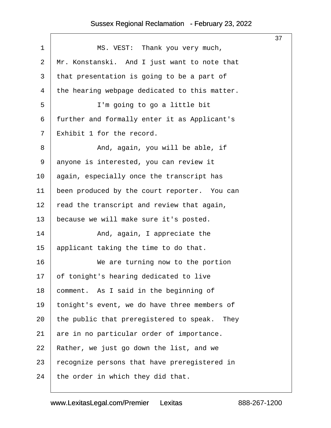<span id="page-37-0"></span>

|                |                                               | 37 |
|----------------|-----------------------------------------------|----|
| $\mathbf 1$    | MS. VEST: Thank you very much,                |    |
| $\overline{2}$ | Mr. Konstanski. And I just want to note that  |    |
| 3              | that presentation is going to be a part of    |    |
| 4              | the hearing webpage dedicated to this matter. |    |
| 5              | I'm going to go a little bit                  |    |
| 6              | further and formally enter it as Applicant's  |    |
| 7              | Exhibit 1 for the record.                     |    |
| 8              | And, again, you will be able, if              |    |
| 9              | anyone is interested, you can review it       |    |
| 10             | again, especially once the transcript has     |    |
| 11             | been produced by the court reporter. You can  |    |
| 12             | read the transcript and review that again,    |    |
| 13             | because we will make sure it's posted.        |    |
| 14             | And, again, I appreciate the                  |    |
| 15             | applicant taking the time to do that.         |    |
| 16             | We are turning now to the portion             |    |
| 17             | of tonight's hearing dedicated to live        |    |
| 18             | comment. As I said in the beginning of        |    |
| 19             | tonight's event, we do have three members of  |    |
| 20             | the public that preregistered to speak. They  |    |
| 21             | are in no particular order of importance.     |    |
| 22             | Rather, we just go down the list, and we      |    |
| 23             | recognize persons that have preregistered in  |    |
| 24             | the order in which they did that.             |    |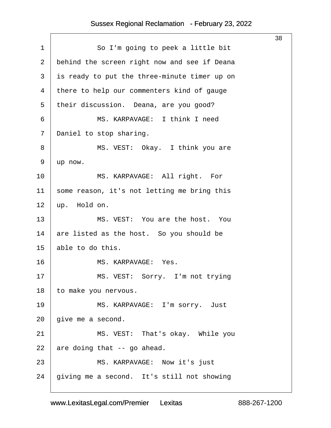<span id="page-38-0"></span>

|                |                                              | 38 |
|----------------|----------------------------------------------|----|
| $\mathbf 1$    | So I'm going to peek a little bit            |    |
| $\overline{2}$ | behind the screen right now and see if Deana |    |
| 3              | is ready to put the three-minute timer up on |    |
| $\overline{4}$ | there to help our commenters kind of gauge   |    |
| 5              | their discussion. Deana, are you good?       |    |
| $\epsilon$     | MS. KARPAVAGE: I think I need                |    |
| 7              | Daniel to stop sharing.                      |    |
| 8              | MS. VEST: Okay. I think you are              |    |
| 9              | up now.                                      |    |
| 10             | MS. KARPAVAGE: All right. For                |    |
| 11             | some reason, it's not letting me bring this  |    |
| 12             | up. Hold on.                                 |    |
| 13             | MS. VEST: You are the host. You              |    |
| 14             | are listed as the host. So you should be     |    |
| 15             | able to do this.                             |    |
| 16             | MS. KARPAVAGE: Yes.                          |    |
| 17             | MS. VEST: Sorry. I'm not trying              |    |
| 18             | to make you nervous.                         |    |
| 19             | MS. KARPAVAGE: I'm sorry. Just               |    |
| 20             | give me a second.                            |    |
| 21             | MS. VEST: That's okay. While you             |    |
| 22             | are doing that -- go ahead.                  |    |
| 23             | MS. KARPAVAGE: Now it's just                 |    |
| 24             | giving me a second. It's still not showing   |    |
|                |                                              |    |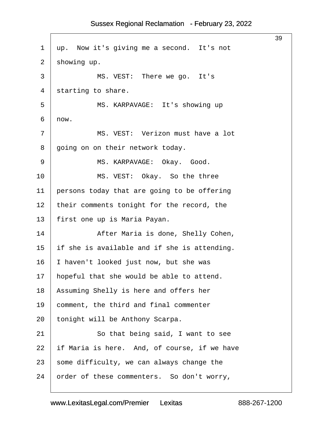<span id="page-39-0"></span>

|                |                                              | 39 |
|----------------|----------------------------------------------|----|
| $\mathbf 1$    | up. Now it's giving me a second. It's not    |    |
| $\overline{2}$ | showing up.                                  |    |
| 3              | MS. VEST: There we go. It's                  |    |
| 4              | starting to share.                           |    |
| 5              | MS. KARPAVAGE: It's showing up               |    |
| 6              | now.                                         |    |
| 7              | MS. VEST: Verizon must have a lot            |    |
| 8              | going on on their network today.             |    |
| 9              | MS. KARPAVAGE: Okay. Good.                   |    |
| 10             | MS. VEST: Okay. So the three                 |    |
| 11             | persons today that are going to be offering  |    |
| 12             | their comments tonight for the record, the   |    |
| 13             | first one up is Maria Payan.                 |    |
| 14             | After Maria is done, Shelly Cohen,           |    |
| 15             | if she is available and if she is attending. |    |
| 16             | I haven't looked just now, but she was       |    |
| 17             | hopeful that she would be able to attend.    |    |
| 18             | Assuming Shelly is here and offers her       |    |
| 19             | comment, the third and final commenter       |    |
| 20             | tonight will be Anthony Scarpa.              |    |
| 21             | So that being said, I want to see            |    |
| 22             | if Maria is here. And, of course, if we have |    |
| 23             | some difficulty, we can always change the    |    |
| 24             | order of these commenters. So don't worry,   |    |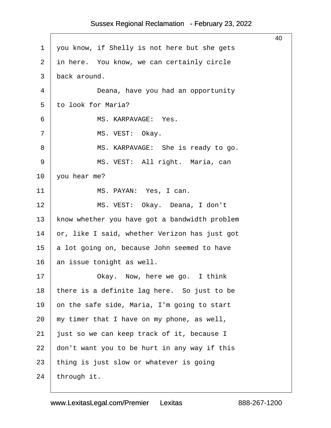<span id="page-40-0"></span>

|             |                                               | 40 |
|-------------|-----------------------------------------------|----|
| $\mathbf 1$ | you know, if Shelly is not here but she gets  |    |
| 2           | in here. You know, we can certainly circle    |    |
| 3           | back around.                                  |    |
| 4           | Deana, have you had an opportunity            |    |
| 5           | to look for Maria?                            |    |
| 6           | MS. KARPAVAGE: Yes.                           |    |
| 7           | MS. VEST: Okay.                               |    |
| 8           | MS. KARPAVAGE: She is ready to go.            |    |
| 9           | MS. VEST: All right. Maria, can               |    |
| 10          | you hear me?                                  |    |
| 11          | MS. PAYAN: Yes, I can.                        |    |
| 12          | MS. VEST: Okay. Deana, I don't                |    |
| 13          | know whether you have got a bandwidth problem |    |
| 14          | or, like I said, whether Verizon has just got |    |
| 15          | a lot going on, because John seemed to have   |    |
| 16          | an issue tonight as well.                     |    |
| 17          | Okay. Now, here we go. I think                |    |
| 18          | there is a definite lag here. So just to be   |    |
| 19          | on the safe side, Maria, I'm going to start   |    |
| 20          | my timer that I have on my phone, as well,    |    |
| 21          | just so we can keep track of it, because I    |    |
| 22          | don't want you to be hurt in any way if this  |    |
| 23          | thing is just slow or whatever is going       |    |
| 24          | through it.                                   |    |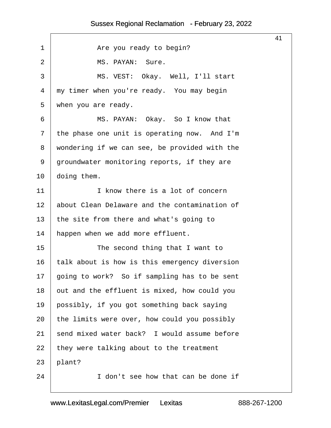<span id="page-41-0"></span>

|              |                                               | 41 |
|--------------|-----------------------------------------------|----|
| 1            | Are you ready to begin?                       |    |
| 2            | MS. PAYAN:<br>Sure.                           |    |
| $\mathsf{3}$ | MS. VEST: Okay. Well, I'll start              |    |
| 4            | my timer when you're ready. You may begin     |    |
| 5            | when you are ready.                           |    |
| 6            | MS. PAYAN: Okay. So I know that               |    |
| 7            | the phase one unit is operating now. And I'm  |    |
| 8            | wondering if we can see, be provided with the |    |
| 9            | groundwater monitoring reports, if they are   |    |
| 10           | doing them.                                   |    |
| 11           | I know there is a lot of concern              |    |
| 12           | about Clean Delaware and the contamination of |    |
| 13           | the site from there and what's going to       |    |
| 14           | happen when we add more effluent.             |    |
| 15           | The second thing that I want to               |    |
| 16           | talk about is how is this emergency diversion |    |
| 17           | going to work? So if sampling has to be sent  |    |
| 18           | out and the effluent is mixed, how could you  |    |
| 19           | possibly, if you got something back saying    |    |
| 20           | the limits were over, how could you possibly  |    |
| 21           | send mixed water back? I would assume before  |    |
| 22           | they were talking about to the treatment      |    |
| 23           | plant?                                        |    |
| 24           | I don't see how that can be done if           |    |
|              |                                               |    |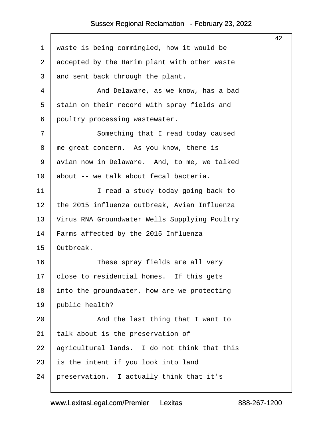<span id="page-42-0"></span>

|                |                                               | 42 |
|----------------|-----------------------------------------------|----|
| $\mathbf 1$    | waste is being commingled, how it would be    |    |
| $\overline{2}$ | accepted by the Harim plant with other waste  |    |
| 3              | and sent back through the plant.              |    |
| 4              | And Delaware, as we know, has a bad           |    |
| 5              | stain on their record with spray fields and   |    |
| 6              | poultry processing wastewater.                |    |
| 7              | Something that I read today caused            |    |
| 8              | me great concern. As you know, there is       |    |
| 9              | avian now in Delaware. And, to me, we talked  |    |
| 10             | about -- we talk about fecal bacteria.        |    |
| 11             | I read a study today going back to            |    |
| 12             | the 2015 influenza outbreak, Avian Influenza  |    |
| 13             | Virus RNA Groundwater Wells Supplying Poultry |    |
| 14             | Farms affected by the 2015 Influenza          |    |
| 15             | Outbreak.                                     |    |
| 16             | These spray fields are all very               |    |
| 17             | close to residential homes. If this gets      |    |
| 18             | into the groundwater, how are we protecting   |    |
| 19             | public health?                                |    |
| 20             | And the last thing that I want to             |    |
| 21             | talk about is the preservation of             |    |
| 22             | agricultural lands. I do not think that this  |    |
| 23             | is the intent if you look into land           |    |
| 24             | preservation. I actually think that it's      |    |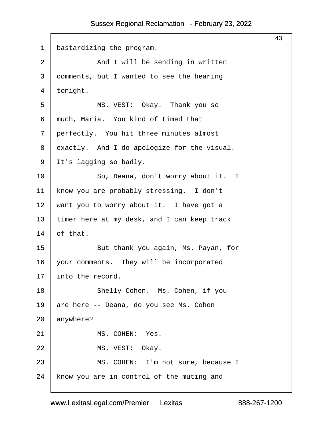<span id="page-43-0"></span>

|                |                                             | 43 |
|----------------|---------------------------------------------|----|
| $\mathbf{1}$   | bastardizing the program.                   |    |
| $\overline{2}$ | And I will be sending in written            |    |
| 3              | comments, but I wanted to see the hearing   |    |
| 4              | tonight.                                    |    |
| 5              | MS. VEST: Okay. Thank you so                |    |
| 6              | much, Maria. You kind of timed that         |    |
| 7              | perfectly. You hit three minutes almost     |    |
| 8              | exactly. And I do apologize for the visual. |    |
| 9              | It's lagging so badly.                      |    |
| 10             | So, Deana, don't worry about it. I          |    |
| 11             | know you are probably stressing. I don't    |    |
| 12             | want you to worry about it. I have got a    |    |
| 13             | timer here at my desk, and I can keep track |    |
| 14             | of that.                                    |    |
| 15             | But thank you again, Ms. Payan, for         |    |
| 16             | your comments. They will be incorporated    |    |
| 17             | into the record.                            |    |
| 18             | Shelly Cohen. Ms. Cohen, if you             |    |
| 19             | are here -- Deana, do you see Ms. Cohen     |    |
| 20             | anywhere?                                   |    |
| 21             | MS. COHEN: Yes.                             |    |
| 22             | MS. VEST: Okay.                             |    |
| 23             | MS. COHEN: I'm not sure, because I          |    |
| 24             | know you are in control of the muting and   |    |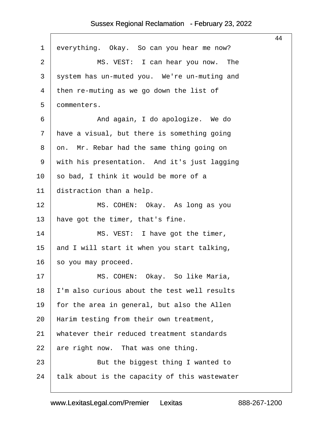<span id="page-44-0"></span>

|                                               | 44 |
|-----------------------------------------------|----|
| everything. Okay. So can you hear me now?     |    |
| MS. VEST: I can hear you now. The             |    |
| system has un-muted you. We're un-muting and  |    |
| then re-muting as we go down the list of      |    |
| commenters.                                   |    |
| And again, I do apologize. We do              |    |
| have a visual, but there is something going   |    |
| on. Mr. Rebar had the same thing going on     |    |
| with his presentation. And it's just lagging  |    |
| so bad, I think it would be more of a         |    |
| distraction than a help.                      |    |
| MS. COHEN: Okay. As long as you               |    |
| have got the timer, that's fine.              |    |
| MS. VEST: I have got the timer,               |    |
| and I will start it when you start talking,   |    |
| so you may proceed.                           |    |
| MS. COHEN: Okay. So like Maria,               |    |
| I'm also curious about the test well results  |    |
| for the area in general, but also the Allen   |    |
| Harim testing from their own treatment,       |    |
| whatever their reduced treatment standards    |    |
| are right now. That was one thing.            |    |
| But the biggest thing I wanted to             |    |
| talk about is the capacity of this wastewater |    |
|                                               |    |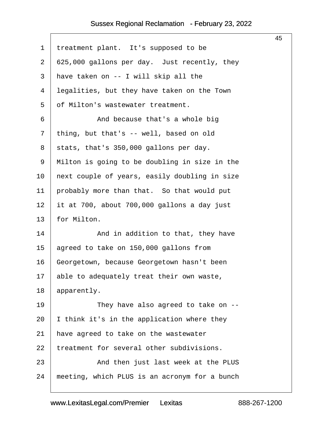<span id="page-45-0"></span>

|    |                                               | 45 |
|----|-----------------------------------------------|----|
| 1  | treatment plant. It's supposed to be          |    |
| 2  | 625,000 gallons per day. Just recently, they  |    |
| 3  | have taken on -- I will skip all the          |    |
| 4  | legalities, but they have taken on the Town   |    |
| 5  | of Milton's wastewater treatment.             |    |
| 6  | And because that's a whole big                |    |
| 7  | thing, but that's -- well, based on old       |    |
| 8  | stats, that's 350,000 gallons per day.        |    |
| 9  | Milton is going to be doubling in size in the |    |
| 10 | next couple of years, easily doubling in size |    |
| 11 | probably more than that. So that would put    |    |
| 12 | it at 700, about 700,000 gallons a day just   |    |
| 13 | for Milton.                                   |    |
| 14 | And in addition to that, they have            |    |
| 15 | agreed to take on 150,000 gallons from        |    |
| 16 | Georgetown, because Georgetown hasn't been    |    |
| 17 | able to adequately treat their own waste,     |    |
| 18 | apparently.                                   |    |
| 19 | They have also agreed to take on --           |    |
| 20 | I think it's in the application where they    |    |
| 21 | have agreed to take on the wastewater         |    |
| 22 | treatment for several other subdivisions.     |    |
| 23 | And then just last week at the PLUS           |    |
| 24 | meeting, which PLUS is an acronym for a bunch |    |
|    |                                               |    |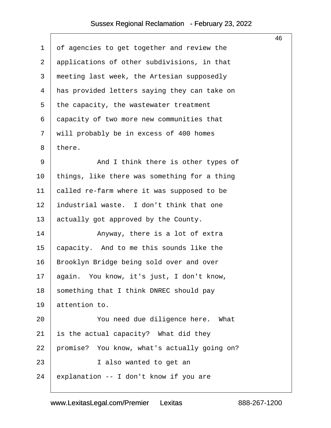$\sqrt{ }$ 

<span id="page-46-0"></span>

|             |                                              | 46 |
|-------------|----------------------------------------------|----|
| $\mathbf 1$ | of agencies to get together and review the   |    |
| 2           | applications of other subdivisions, in that  |    |
| 3           | meeting last week, the Artesian supposedly   |    |
| 4           | has provided letters saying they can take on |    |
| 5           | the capacity, the wastewater treatment       |    |
| 6           | capacity of two more new communities that    |    |
| 7           | will probably be in excess of 400 homes      |    |
| 8           | there.                                       |    |
| 9           | And I think there is other types of          |    |
| 10          | things, like there was something for a thing |    |
| 11          | called re-farm where it was supposed to be   |    |
| 12          | industrial waste. I don't think that one     |    |
| 13          | actually got approved by the County.         |    |
| 14          | Anyway, there is a lot of extra              |    |
| 15          | capacity. And to me this sounds like the     |    |
| 16          | Brooklyn Bridge being sold over and over     |    |
| 17          | again. You know, it's just, I don't know,    |    |
| 18          | something that I think DNREC should pay      |    |
| 19          | attention to.                                |    |
| 20          | You need due diligence here. What            |    |
| 21          | is the actual capacity? What did they        |    |
| 22          | promise? You know, what's actually going on? |    |
| 23          | I also wanted to get an                      |    |
| 24          | explanation -- I don't know if you are       |    |
|             |                                              |    |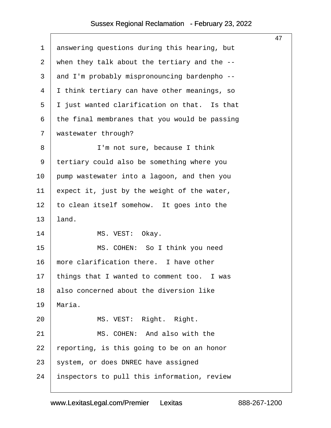<span id="page-47-0"></span>

|                |                                               | 47 |
|----------------|-----------------------------------------------|----|
| $\mathbf 1$    | answering questions during this hearing, but  |    |
| $\overline{2}$ | when they talk about the tertiary and the --  |    |
| 3              | and I'm probably mispronouncing bardenpho --  |    |
| 4              | I think tertiary can have other meanings, so  |    |
| 5              | I just wanted clarification on that. Is that  |    |
| 6              | the final membranes that you would be passing |    |
| 7              | wastewater through?                           |    |
| 8              | I'm not sure, because I think                 |    |
| 9              | tertiary could also be something where you    |    |
| 10             | pump wastewater into a lagoon, and then you   |    |
| 11             | expect it, just by the weight of the water,   |    |
| 12             | to clean itself somehow. It goes into the     |    |
| 13             | land.                                         |    |
| 14             | MS. VEST: Okay.                               |    |
| 15             | MS. COHEN: So I think you need                |    |
| 16             | more clarification there. I have other        |    |
| 17             | things that I wanted to comment too. I was    |    |
| 18             | also concerned about the diversion like       |    |
| 19             | Maria.                                        |    |
| 20             | MS. VEST: Right. Right.                       |    |
| 21             | MS. COHEN: And also with the                  |    |
| 22             | reporting, is this going to be on an honor    |    |
| 23             | system, or does DNREC have assigned           |    |
| 24             | inspectors to pull this information, review   |    |
|                |                                               |    |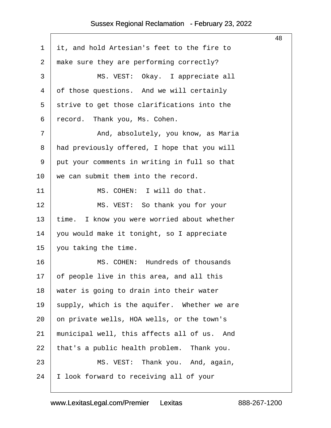<span id="page-48-0"></span>

|              |                                                | 48 |
|--------------|------------------------------------------------|----|
| $\mathbf 1$  | it, and hold Artesian's feet to the fire to    |    |
| 2            | make sure they are performing correctly?       |    |
| $\mathsf{3}$ | MS. VEST: Okay. I appreciate all               |    |
| 4            | of those questions. And we will certainly      |    |
| 5            | strive to get those clarifications into the    |    |
| 6            | record. Thank you, Ms. Cohen.                  |    |
| 7            | And, absolutely, you know, as Maria            |    |
| 8            | had previously offered, I hope that you will   |    |
| 9            | put your comments in writing in full so that   |    |
| 10           | we can submit them into the record.            |    |
| 11           | MS. COHEN: I will do that.                     |    |
| 12           | MS. VEST: So thank you for your                |    |
| 13           | time. I know you were worried about whether    |    |
| 14           | you would make it tonight, so I appreciate     |    |
| 15           | you taking the time.                           |    |
| 16           | MS. COHEN: Hundreds of thousands               |    |
| 17           | of people live in this area, and all this      |    |
| 18           | water is going to drain into their water       |    |
| 19           | supply, which is the aquifer. Whether we are   |    |
| 20           | on private wells, HOA wells, or the town's     |    |
| 21           | municipal well, this affects all of us.<br>And |    |
| 22           | that's a public health problem. Thank you.     |    |
| 23           | MS. VEST: Thank you. And, again,               |    |
| 24           | I look forward to receiving all of your        |    |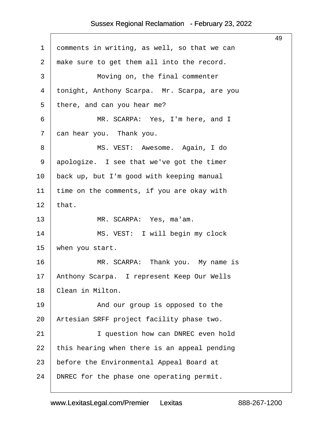<span id="page-49-0"></span>

|                |                                              | 49 |
|----------------|----------------------------------------------|----|
| $\mathbf 1$    | comments in writing, as well, so that we can |    |
| $\overline{2}$ | make sure to get them all into the record.   |    |
| 3              | Moving on, the final commenter               |    |
| 4              | tonight, Anthony Scarpa. Mr. Scarpa, are you |    |
| 5              | there, and can you hear me?                  |    |
| 6              | MR. SCARPA: Yes, I'm here, and I             |    |
| 7              | can hear you. Thank you.                     |    |
| 8              | MS. VEST: Awesome. Again, I do               |    |
| 9              | apologize. I see that we've got the timer    |    |
| 10             | back up, but I'm good with keeping manual    |    |
| 11             | time on the comments, if you are okay with   |    |
| 12             | that.                                        |    |
| 13             | MR. SCARPA: Yes, ma'am.                      |    |
| 14             | MS. VEST: I will begin my clock              |    |
| 15             | when you start.                              |    |
| 16             | MR. SCARPA: Thank you. My name is            |    |
| 17             | Anthony Scarpa. I represent Keep Our Wells   |    |
| 18             | Clean in Milton.                             |    |
| 19             | And our group is opposed to the              |    |
| 20             | Artesian SRFF project facility phase two.    |    |
| 21             | I question how can DNREC even hold           |    |
| 22             | this hearing when there is an appeal pending |    |
| 23             | before the Environmental Appeal Board at     |    |
| 24             | DNREC for the phase one operating permit.    |    |
|                |                                              |    |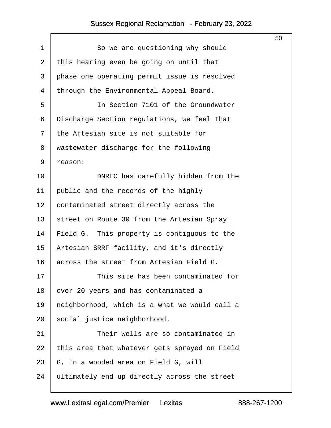<span id="page-50-0"></span>

|             |                                               | 50 |  |  |
|-------------|-----------------------------------------------|----|--|--|
| $\mathbf 1$ | So we are questioning why should              |    |  |  |
| 2           | this hearing even be going on until that      |    |  |  |
| 3           | phase one operating permit issue is resolved  |    |  |  |
| 4           | through the Environmental Appeal Board.       |    |  |  |
| 5           | In Section 7101 of the Groundwater            |    |  |  |
| 6           | Discharge Section regulations, we feel that   |    |  |  |
| 7           | the Artesian site is not suitable for         |    |  |  |
| 8           | wastewater discharge for the following        |    |  |  |
| 9           | reason:                                       |    |  |  |
| 10          | DNREC has carefully hidden from the           |    |  |  |
| 11          | public and the records of the highly          |    |  |  |
| 12          | contaminated street directly across the       |    |  |  |
| 13          | street on Route 30 from the Artesian Spray    |    |  |  |
| 14          | Field G. This property is contiguous to the   |    |  |  |
| 15          | Artesian SRRF facility, and it's directly     |    |  |  |
| 16          | across the street from Artesian Field G.      |    |  |  |
| 17          | This site has been contaminated for           |    |  |  |
| 18          | over 20 years and has contaminated a          |    |  |  |
| 19          | neighborhood, which is a what we would call a |    |  |  |
| 20          | social justice neighborhood.                  |    |  |  |
| 21          | Their wells are so contaminated in            |    |  |  |
| 22          | this area that whatever gets sprayed on Field |    |  |  |
| 23          | G, in a wooded area on Field G, will          |    |  |  |
| 24          | ultimately end up directly across the street  |    |  |  |
|             |                                               |    |  |  |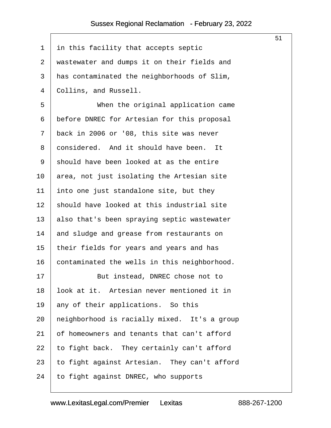<span id="page-51-0"></span>

|             |                                              | 51 |
|-------------|----------------------------------------------|----|
| $\mathbf 1$ | in this facility that accepts septic         |    |
| 2           | wastewater and dumps it on their fields and  |    |
| 3           | has contaminated the neighborhoods of Slim,  |    |
| 4           | Collins, and Russell.                        |    |
| 5           | When the original application came           |    |
| 6           | before DNREC for Artesian for this proposal  |    |
| 7           | back in 2006 or '08, this site was never     |    |
| 8           | considered. And it should have been. It      |    |
| 9           | should have been looked at as the entire     |    |
| 10          | area, not just isolating the Artesian site   |    |
| 11          | into one just standalone site, but they      |    |
| 12          | should have looked at this industrial site   |    |
| 13          | also that's been spraying septic wastewater  |    |
| 14          | and sludge and grease from restaurants on    |    |
| 15          | their fields for years and years and has     |    |
| 16          | contaminated the wells in this neighborhood. |    |
| 17          | But instead, DNREC chose not to              |    |
| 18          | look at it. Artesian never mentioned it in   |    |
| 19          | any of their applications. So this           |    |
| 20          | neighborhood is racially mixed. It's a group |    |
| 21          | of homeowners and tenants that can't afford  |    |
| 22          | to fight back. They certainly can't afford   |    |
| 23          | to fight against Artesian. They can't afford |    |
| 24          | to fight against DNREC, who supports         |    |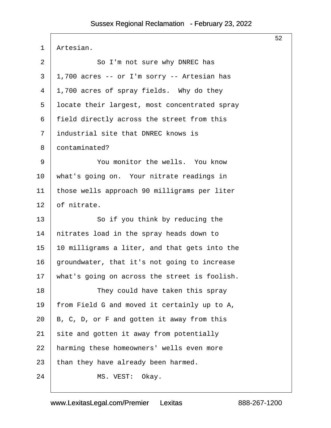<span id="page-52-0"></span>

| 1  | Artesian.                                     |  |
|----|-----------------------------------------------|--|
| 2  | So I'm not sure why DNREC has                 |  |
| 3  | 1,700 acres -- or I'm sorry -- Artesian has   |  |
| 4  | 1,700 acres of spray fields. Why do they      |  |
| 5  | locate their largest, most concentrated spray |  |
| 6  | field directly across the street from this    |  |
| 7  | industrial site that DNREC knows is           |  |
| 8  | contaminated?                                 |  |
| 9  | You monitor the wells. You know               |  |
| 10 | what's going on. Your nitrate readings in     |  |
| 11 | those wells approach 90 milligrams per liter  |  |
| 12 | of nitrate.                                   |  |
| 13 | So if you think by reducing the               |  |
| 14 | nitrates load in the spray heads down to      |  |
| 15 | 10 milligrams a liter, and that gets into the |  |
| 16 | groundwater, that it's not going to increase  |  |
| 17 | what's going on across the street is foolish. |  |
| 18 | They could have taken this spray              |  |
| 19 | from Field G and moved it certainly up to A,  |  |
| 20 | B, C, D, or F and gotten it away from this    |  |
| 21 | site and gotten it away from potentially      |  |
| 22 | harming these homeowners' wells even more     |  |
| 23 | than they have already been harmed.           |  |
| 24 | MS. VEST:<br>Okay.                            |  |

52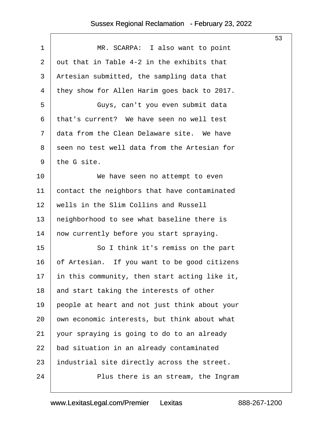$\sqrt{ }$ 

<span id="page-53-0"></span>

|             |                                               | 53 |  |
|-------------|-----------------------------------------------|----|--|
| $\mathbf 1$ | MR. SCARPA: I also want to point              |    |  |
| 2           | out that in Table 4-2 in the exhibits that    |    |  |
| 3           | Artesian submitted, the sampling data that    |    |  |
| 4           | they show for Allen Harim goes back to 2017.  |    |  |
| 5           | Guys, can't you even submit data              |    |  |
| 6           | that's current? We have seen no well test     |    |  |
| 7           | data from the Clean Delaware site. We have    |    |  |
| 8           | seen no test well data from the Artesian for  |    |  |
| 9           | the G site.                                   |    |  |
| 10          | We have seen no attempt to even               |    |  |
| 11          | contact the neighbors that have contaminated  |    |  |
| 12          | wells in the Slim Collins and Russell         |    |  |
| 13          | neighborhood to see what baseline there is    |    |  |
| 14          | now currently before you start spraying.      |    |  |
| 15          | So I think it's remiss on the part            |    |  |
| 16          | of Artesian. If you want to be good citizens  |    |  |
| 17          | in this community, then start acting like it, |    |  |
| 18          | and start taking the interests of other       |    |  |
| 19          | people at heart and not just think about your |    |  |
| 20          | own economic interests, but think about what  |    |  |
| 21          | your spraying is going to do to an already    |    |  |
| 22          | bad situation in an already contaminated      |    |  |
| 23          | industrial site directly across the street.   |    |  |
| 24          | Plus there is an stream, the Ingram           |    |  |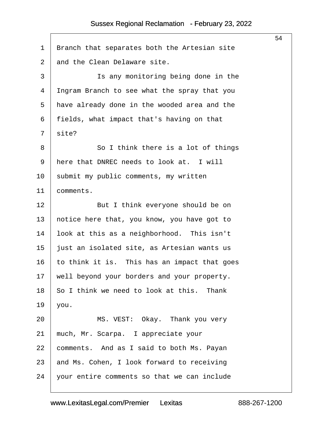$\lceil$ 

<span id="page-54-0"></span>

|                |                                              | 54 |  |  |
|----------------|----------------------------------------------|----|--|--|
| 1              | Branch that separates both the Artesian site |    |  |  |
| $\overline{2}$ | and the Clean Delaware site.                 |    |  |  |
| 3              | Is any monitoring being done in the          |    |  |  |
| 4              | Ingram Branch to see what the spray that you |    |  |  |
| 5              | have already done in the wooded area and the |    |  |  |
| 6              | fields, what impact that's having on that    |    |  |  |
| 7              | site?                                        |    |  |  |
| 8              | So I think there is a lot of things          |    |  |  |
| 9              | here that DNREC needs to look at. I will     |    |  |  |
| 10             | submit my public comments, my written        |    |  |  |
| 11             | comments.                                    |    |  |  |
| 12             | But I think everyone should be on            |    |  |  |
| 13             | notice here that, you know, you have got to  |    |  |  |
| 14             | look at this as a neighborhood. This isn't   |    |  |  |
| 15             | just an isolated site, as Artesian wants us  |    |  |  |
| 16             | to think it is. This has an impact that goes |    |  |  |
| 17             | well beyond your borders and your property.  |    |  |  |
| 18             | So I think we need to look at this. Thank    |    |  |  |
| 19             | you.                                         |    |  |  |
| 20             | MS. VEST: Okay. Thank you very               |    |  |  |
| 21             | much, Mr. Scarpa. I appreciate your          |    |  |  |
| 22             | comments. And as I said to both Ms. Payan    |    |  |  |
| 23             | and Ms. Cohen, I look forward to receiving   |    |  |  |
| 24             | your entire comments so that we can include  |    |  |  |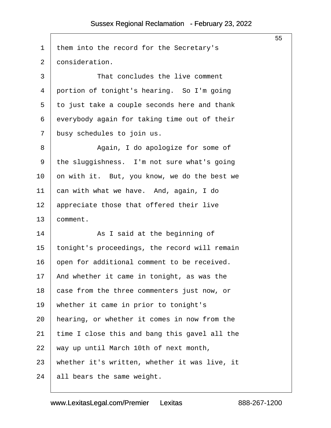$\sqrt{ }$ 

<span id="page-55-0"></span>

| 1  | them into the record for the Secretary's      |
|----|-----------------------------------------------|
| 2  | consideration.                                |
| 3  | That concludes the live comment               |
| 4  | portion of tonight's hearing. So I'm going    |
| 5  | to just take a couple seconds here and thank  |
| 6  | everybody again for taking time out of their  |
| 7  | busy schedules to join us.                    |
| 8  | Again, I do apologize for some of             |
| 9  | the sluggishness. I'm not sure what's going   |
| 10 | on with it. But, you know, we do the best we  |
| 11 | can with what we have. And, again, I do       |
| 12 | appreciate those that offered their live      |
| 13 | comment.                                      |
| 14 | As I said at the beginning of                 |
| 15 | tonight's proceedings, the record will remain |
| 16 | open for additional comment to be received.   |
| 17 | And whether it came in tonight, as was the    |
| 18 | case from the three commenters just now, or   |
| 19 | whether it came in prior to tonight's         |
| 20 | hearing, or whether it comes in now from the  |
| 21 | time I close this and bang this gavel all the |
| 22 | way up until March 10th of next month,        |
|    |                                               |
| 23 | whether it's written, whether it was live, it |

55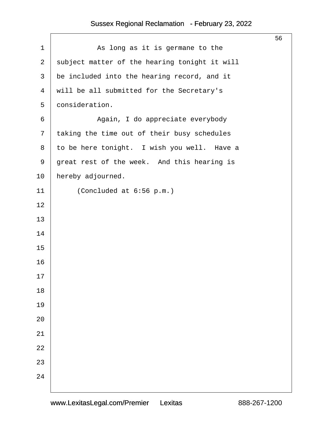|                |                                               | 56 |
|----------------|-----------------------------------------------|----|
| $\mathbf 1$    | As long as it is germane to the               |    |
| $\overline{a}$ | subject matter of the hearing tonight it will |    |
| $\mathfrak{Z}$ | be included into the hearing record, and it   |    |
| $\overline{4}$ | will be all submitted for the Secretary's     |    |
| 5              | consideration.                                |    |
| 6              | Again, I do appreciate everybody              |    |
| 7              | taking the time out of their busy schedules   |    |
| 8              | to be here tonight. I wish you well. Have a   |    |
| 9              | great rest of the week. And this hearing is   |    |
| 10             | hereby adjourned.                             |    |
| 11             | (Concluded at 6:56 p.m.)                      |    |
| 12             |                                               |    |
| 13             |                                               |    |
| 14             |                                               |    |
| 15             |                                               |    |
| 16             |                                               |    |
| $17\,$         |                                               |    |
| $18\,$         |                                               |    |
| 19             |                                               |    |
| 20             |                                               |    |
| 21             |                                               |    |
| 22             |                                               |    |
| 23             |                                               |    |
| 24             |                                               |    |
|                |                                               |    |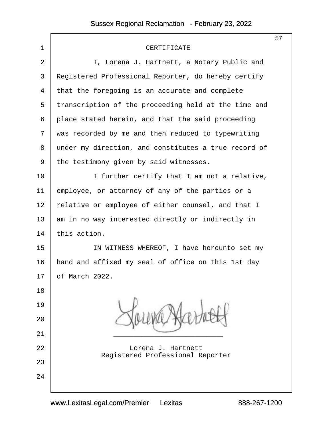|                |                                                        | 57 |
|----------------|--------------------------------------------------------|----|
| $\mathbf 1$    | CERTIFICATE                                            |    |
| $\overline{2}$ | I, Lorena J. Hartnett, a Notary Public and             |    |
| 3              | Registered Professional Reporter, do hereby certify    |    |
| 4              | that the foregoing is an accurate and complete         |    |
| 5              | transcription of the proceeding held at the time and   |    |
| 6              | place stated herein, and that the said proceeding      |    |
| 7              | was recorded by me and then reduced to typewriting     |    |
| 8              | under my direction, and constitutes a true record of   |    |
| 9              | the testimony given by said witnesses.                 |    |
| 10             | I further certify that I am not a relative,            |    |
| 11             | employee, or attorney of any of the parties or a       |    |
| 12             | relative or employee of either counsel, and that I     |    |
| 13             | am in no way interested directly or indirectly in      |    |
| 14             | this action.                                           |    |
| 15             | IN WITNESS WHEREOF, I have hereunto set my             |    |
| 16             | hand and affixed my seal of office on this 1st day     |    |
| 17             | of March 2022.                                         |    |
| 18             |                                                        |    |
| 19             |                                                        |    |
| 20             |                                                        |    |
| 21             |                                                        |    |
| 22             | Lorena J. Hartnett<br>Registered Professional Reporter |    |
| 23             |                                                        |    |
| 24             |                                                        |    |
|                |                                                        |    |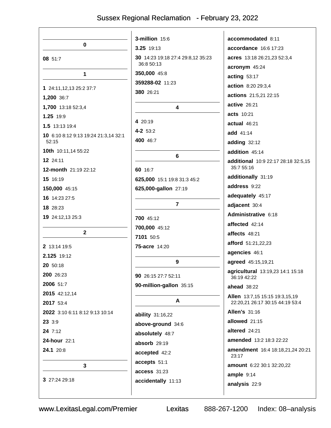|                                      | 3-million 15:6                    | accommodated 8:11                                                 |
|--------------------------------------|-----------------------------------|-------------------------------------------------------------------|
| $\mathbf 0$                          | 3.25 19:13                        | accordance 16:6 17:23                                             |
| 08 51:7                              | 30 14:23 19:18 27:4 29:8,12 35:23 | acres 13:18 26:21,23 52:3,4                                       |
|                                      | 36:8 50:13                        | acronym 45:24                                                     |
| 1                                    | 350,000 45:8                      | acting $53:17$                                                    |
| 1 24:11,12,13 25:2 37:7              | 359288-02 11:23                   | action 8:20 29:3,4                                                |
| 1,200 36:7                           | 380 26:21                         | actions 21:5,21 22:15                                             |
| 1,700 13:18 52:3,4                   | 4                                 | active 26:21                                                      |
| 1.25 19:9                            |                                   | acts 10:21                                                        |
| 1.5 13:13 19:4                       | 4 20:19                           | actual 46:21                                                      |
| 10 6:10 8:12 9:13 19:24 21:3,14 32:1 | 4-2 53:2                          | add 41:14                                                         |
| 52:15                                | 400 46:7                          | adding 32:12                                                      |
| 10th 10:11,14 55:22                  | 6                                 | addition 45:14                                                    |
| 12 24:11                             |                                   | additional 10:9 22:17 28:18 32:5,15<br>35:7 55:16                 |
| 12-month 21:19 22:12                 | 60 16:7                           | additionally 31:19                                                |
| 15 16:19                             | 625,000 15:1 19:8 31:3 45:2       | address 9:22                                                      |
| 150,000 45:15                        | 625,000-gallon 27:19              | adequately 45:17                                                  |
| 16 14:23 27:5                        | $\overline{7}$                    | adjacent 30:4                                                     |
| 18 28:23                             |                                   | Administrative 6:18                                               |
| 19 24:12,13 25:3                     | 700 45:12                         | affected 42:14                                                    |
| $\overline{2}$                       | 700,000 45:12                     | affects 48:21                                                     |
|                                      | 7101 50:5                         | afford 51:21,22,23                                                |
| 2 13:14 19:5                         | 75-acre 14:20                     | agencies 46:1                                                     |
| 2.125 19:12                          | 9                                 | agreed 45:15,19,21                                                |
| 20 50:18                             |                                   | agricultural 13:19,23 14:1 15:18                                  |
| 200 26:23                            | 90 26:15 27:7 52:11               | 36:19 42:22                                                       |
| 2006 51:7                            | 90-million-gallon 35:15           | <b>ahead</b> 38:22                                                |
| 2015 42:12,14<br>2017 53:4           | A                                 | Allen 13:7,15 15:15 19:3,15,19<br>22:20,21 26:17 30:15 44:19 53:4 |
| 2022 3:10 6:11 8:12 9:13 10:14       |                                   | <b>Allen's 31:16</b>                                              |
| 23 3:9                               | ability 31:16,22                  | allowed 21:15                                                     |
| 24 7:12                              | above-ground 34:6                 | altered 24:21                                                     |
| 24-hour 22:1                         | absolutely 48:7                   | amended 13:2 18:3 22:22                                           |
| 24.1 20:8                            | absorb 29:19                      | amendment 16:4 18:18,21,24 20:21                                  |
|                                      | accepted 42:2                     | 23:17                                                             |
| 3                                    | accepts 51:1                      | amount 6:22 30:1 32:20,22                                         |
| 3 27:24 29:18                        | access 31:23                      | ample $9:14$                                                      |
|                                      | accidentally 11:13                | analysis 22:9                                                     |

Lexitas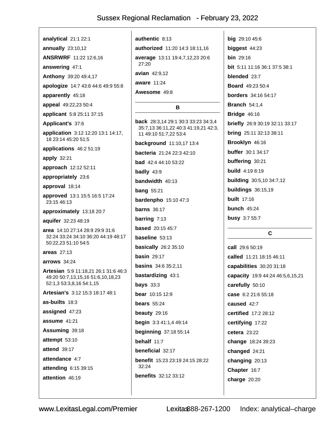analytical 21:1 22:1

annually  $23:10.12$ **ANSRWRF** 11:22 12:6.16

answering 47:1

Anthony 39:20 49:4,17

apologize 14:7 43:8 44:6 49:9 55:8

apparently 45:18

appeal 49:22,23 50:4

applicant 5:8 25:11 37:15

Applicant's 37:6

application 3:12 12:20 13:1 14:17, 18 23:14 45:20 51:5

applications 46:2 51:19

apply 32:21

approach 12:12 52:11

appropriately 23:6

approval 18:14

approved 13:1 15:5 16:5 17:24 23:15 46:13

approximately 13:18 20:7

aquifer 32:23 48:19

area 14:10 27:14 28:9 29:9 31:6 32:24 33:24 34:10 36:20 44:19 48:17 50:22.23 51:10 54:5

areas 27:13

 $\arrows$  34:24

Artesian 5:9 11:18,21 26:1 31:6 46:3 49:20 50:7,13,15,16 51:6,10,18,23 52:1,3 53:3,8,16 54:1,15

Artesian's 3:12 15:3 18:17 48:1

as-builts  $18:3$ 

assigned 47:23

assume 41:21

Assuming 39:18

attempt 53:10

attend 39:17

attendance 4:7

attending 6:15 39:15

attention 46:19

authentic 8:13 authorized 11:20 14:3 18:11,16 average 13:11 19:4,7,12,23 20:6 27:20 avian 42:9.12 aware 11:24 Awesome 49:8 B back 28:3,14 29:1 30:3 33:23 34:3,4 35:7,13 36:11,22 40:3 41:19,21 42:3, 11 49:10 51:7,22 53:4 background 11:10,17 13:4 **bacteria** 21:24 22:3 42:10 **bad** 42:4 44:10 53:22 badly  $43:9$ 

bandwidth 40:13 **bang** 55:21 **bardenpho** 15:10 47:3 **barns** 36:17

barring  $7:13$ 

**based** 20:15 45:7

baseline 53:13

**basically** 26:2 35:10

basin  $29:17$ 

**basins** 34:6 35:2.11 bastardizing 43:1

bays  $33:3$ 

bear 10:15 12:9

bears  $55:24$ 

beauty  $29:16$ 

begin 3:3 41:1,4 49:14

**beginning 37:18 55:14** 

behalf  $11:7$ 

beneficial 32:17 benefit 15:23 23:19 24:15 28:22 32:24

**benefits** 32:12 33:12

big 29:10 45:6 biggest 44:23 bin 29:16 bit 5:11 11:16 36:1 37:5 38:1 blended 23.7 **Board** 49:23 50:4 **borders** 34:16 54:17 **Branch** 54:1,4 **Bridge 46:16 briefly** 26:9 30:19 32:11 33:17 bring 25:11 32:13 38:11 Brooklyn 46:16 **buffer** 30:1 34:17 buffering 30:21 **build** 4:19 8:19 **building** 30:5,10 34:7,12 buildings 36:15,19 **built** 17:16 **bunch 45:24 busy** 3:7 55:7

#### $\mathbf{C}$

call 29:6 50:19 called 11:21 18:15 46:11 capabilities 30:20 31:18 capacity 19:9 44:24 46:5,6,15,21 carefully 50:10 case 6:2 21:6 55:18 caused 42:7 certified 17:2 28:12 certifying 17:22 cetera  $23:22$ change 18:24 39:23 changed 24:21 changing 20:13 Chapter 16:7 charge 20:20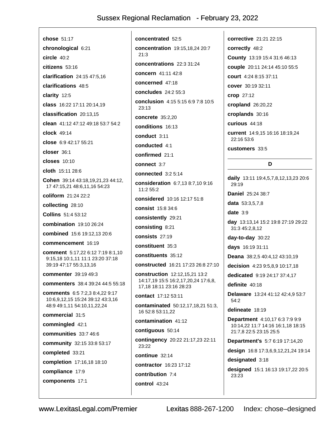chose 51:17 chronological 6:21 circle  $40:2$  $citizens 53:16$ clarification 24:15 47:5.16 clarifications 48:5 clarity 12:5 class 16:22 17:11 20:14.19 classification 20:13.15 clean 41:12 47:12 49:18 53:7 54:2 clock 49:14 close 6:9 42:17 55:21 closer 36:1 closes 10:10 cloth 15:11 28:6 Cohen 39:14 43:18,19,21,23 44:12, 17 47:15,21 48:6,11,16 54:23 coliform 21:24 22:2 collecting 28:10 **Collins** 51:4 53:12 combination 19:10 26:24 combined 15:6 19:12.13 20:6 commencement 16:19 comment 5:17,22 6:12 7:19 8:1,10 9:15,18 10:1,11 11:1 23:20 37:18 39:19 47:17 55:3,13,16 commenter 39:19 49:3 **commenters** 38:4 39:24 44:5 55:18 comments 6:5 7:2,3 8:4,22 9:17 10:6,9,12,15 15:24 39:12 43:3,16 48:9 49:1.11 54:10.11.22.24 commercial 31:5 commingled 42:1 communities 33:7 46:6 community 32:15 33:8 53:17 completed 33:21 completion 17:16,18 18:10 compliance 17:9 components 17:1

concentrated 52:5 concentration 19:15,18,24 20:7  $21:3$ concentrations 22:3 31:24 concern 41:11 42:8 concerned 47:18 concludes 24:2 55:3 conclusion 4:15 5:15 6:9 7:8 10:5  $23:13$ concrete 35:2,20 conditions 16:13 conduct 3:11 conducted 4:1 confirmed 21:1 connect 3:7 connected  $3:25:14$ consideration 6:7,13 8:7,10 9:16 11:2 55:2 considered 10:16 12:17 51:8 consist 15:8 34:6 consistently 29:21 consisting 8:21 consists 27:19 constituent 35:3 constituents 35:12 constructed 16:21 17:23 26:8 27:10 construction 12:12.15.21 13:2 14:17.19 15:5 16:2.17.20.24 17:6.8. 17,18 18:11 23:16 28:23 contact 17:12 53:11 contaminated 50:12,17,18,21 51:3, 16 52:8 53:11.22 contamination 41:12 contiguous 50:14 contingency 20:22 21:17,23 22:11 23:22 continue 32:14 contractor 16:23 17:12 contribution 7:4 control 43:24

corrective 21:21 22:15 correctly 48:2 County 13:19 15:4 31:6 46:13 couple 20:11 24:14 45:10 55:5 court 4:24 8:15 37:11 cover 30:19 32:11 crop 27:12 cropland 26:20,22 croplands 30:16 curious 44:18 current 14:9,15 16:16 18:19,24 22:16 53:6 customers 33:5 D daily 13:11 19:4,5,7,8,12,13,23 20:6 29:19 Daniel 25:24 38:7 data 53:3.5.7.8 date  $3:9$ day 13:13,14 15:2 19:8 27:19 29:22 31:3 45:2,8,12 day-to-day 30:22 days 16:19 31:11 Deana 38:2,5 40:4,12 43:10,19 decision 4:23 9:5,8,9 10:17,18 dedicated 9:19 24:17 37:4.17 definite 40:18 Delaware 13:24 41:12 42:4,9 53:7  $54:2$ delineate 18:19 **Department** 4:10,17 6:3 7:9 9:9 10:14,22 11:7 14:16 16:1,18 18:15 21:7,8 22:5 23:15 25:5 **Department's 5:7 6:19 17:14,20** design 16:8 17:3,6,9,12,21,24 19:14 designated 3:18 designed 15:1 16:13 19:17,22 20:5 23:23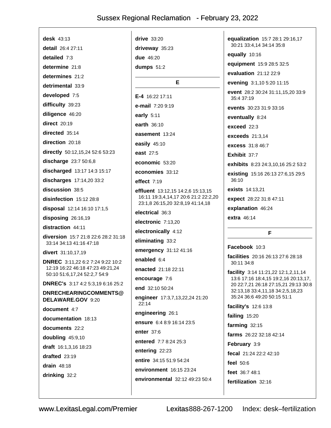desk  $43:13$ detail 26:4 27:11 detailed  $7:3$ determine 21:8 determines  $21.2$ detrimental 33:9 developed 7:5 difficulty 39:23 diligence 46:20 direct 20:19 directed 35:14 direction 20:18 directly 50:12,15,24 52:6 53:23 discharge 23:7 50:6,8 discharged 13:17 14:3 15:17 discharges 17:14,20 33:2 discussion 38:5 disinfection 15:12 28:8 disposal 12:14 16:10 17:1,5 disposing 26:16,19 distraction 44:11 diversion 15:7 21:8 22:6 28:2 31:18 33:14 34:13 41:16 47:18 divert 31:10,17,19 DNREC 3:11,22 6:2 7:24 9:22 10:2 12:19 16:22 46:18 47:23 49:21,24 50:10 51:6,17,24 52:2,7 54:9 **DNREC's** 3:17 4:2 5:3.19 6:16 25:2 DNRECHEARINGCOMMENTS@ DELAWARE.GOV 9:20 document 4:7 documentation 18:13 documents 22:2 doubling 45:9,10 draft 16:1,3,16 18:23 drafted 23:19 drain  $48:18$ drinking 32:2

 $drive$  33:20 driveway 35:23 due 46:20 dumps  $51:2$ E E-4  $16:22$  17:11 e-mail 7:20 9:19 early  $5:11$ earth 36:10 easement 13:24 easily 45:10 east 27:5 economic 53:20 economies 33:12 effect  $7:19$ effluent 13:12,15 14:2,6 15:13,15 16:11 19:3,4,14,17 20:6 21:2 22:2,20 23:1,8 26:15,20 32:8,19 41:14,18 electrical 36:3 electronic 7:13.20 electronically 4:12 eliminating 33:2 emergency 31:12 41:16 enabled 6:4 enacted 21:18 22:11 encourage 7:6 end 32:10 50:24 engineer 17:3,7,13,22,24 21:20  $22:14$ engineering 26:1 ensure 6:4 8:9 16:14 23:5 enter 37:6 entered 7:7 8:24 25:3 entering 22:23 entire 34:15 51:9 54:24 environment 16:15 23:24 environmental 32:12 49:23 50:4

equalization 15:7 28:1 29:16,17 30:21 33:4,14 34:14 35:8 equally 10:16 equipment 15:9 28:5 32:5 evaluation  $21 \cdot 12$   $22 \cdot 9$ evening 3:1,10 5:20 11:15 event 28:2 30:24 31:11,15,20 33:9 35:4 37:19 events 30:23 31:9 33:16 eventually 8:24  $exceed 22:3$ exceeds  $21:3.14$ excess 31:8 46:7 Exhibit 37:7 exhibits 8:23 24:3.10.16 25:2 53:2 existing 15:16 26:13 27:6,15 29:5  $36:10$ exists 14:13,21 expect 28:22 31:8 47:11 explanation 46:24 extra 46:14 F. Facebook 10:3 facilities 20:16 26:13 27:6 28:18  $30:11.34:8$ **facility**  $3:14$  11:21,22 12:1,2,11,14 13:6 17:16 18:4,15 19:2,16 20:13,17, 20 22:7,21 26:18 27:15,21 29:13 30:8 32:13,18 33:4,11,18 34:2,5,18,23 35:24 36:6 49:20 50:15 51:1 facility's 12:6 13:8 failing 15:20

farming  $32:15$ 

farms 26:22 32:18 42:14

February 3:9

fecal 21:24 22:2 42:10

feel  $50:6$ 

feet 36:7 48:1

fertilization 32:16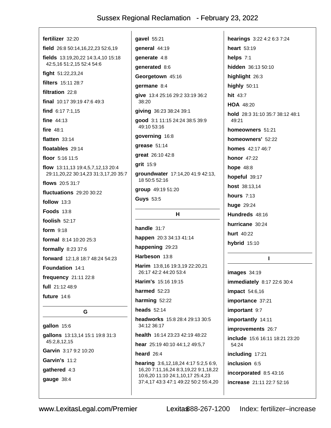| fertilizer 32:20                                                                 | gavel 55             |
|----------------------------------------------------------------------------------|----------------------|
| field 26:8 50:14,16,22,23 52:6,19                                                | general              |
| <b>fields</b> $13:19,20,22$ $14:3,4,10$ $15:18$                                  | generate             |
| 42:5,16 51:2,15 52:4 54:6                                                        | generate             |
| fight 51:22,23,24                                                                | <b>Georget</b>       |
| <b>filters</b> 15:11 28:7                                                        | germane              |
| filtration 22:8                                                                  | give 13:4            |
| final $10:1739:1947:649:3$                                                       | 38:20                |
| find 6:17 7:1,15                                                                 | giving 3             |
| fine $44:13$                                                                     | <b>good</b> 3:1      |
| fire 48:1                                                                        | 49:10 53             |
| flatten $33:14$                                                                  | governir             |
| floatables 29:14                                                                 | grease &             |
| floor $5:16$ 11:5                                                                | great 26             |
| <b>flow</b> 13:11,13 19:4,5,7,12,13 20:4<br>29:11,20,22 30:14,23 31:3,17,20 35:7 | grit 15:9<br>groundw |
| flows 20:5 31:7                                                                  | 18 50:5              |
| fluctuations 29:20 30:22                                                         | group 4              |
| follow $13:3$                                                                    | Guys 53              |
| <b>Foods 13:8</b>                                                                |                      |
| foolish 52:17                                                                    |                      |
| form $9:18$                                                                      | handle 3             |
| <b>formal</b> $8:14$ 10:20 25:3                                                  | happen               |
| formally 8:23 37:6                                                               | happeni              |
| forward 12:1,8 18:7 48:24 54:23                                                  | <b>Harbeso</b>       |
| Foundation 14:1                                                                  | Harim 1:<br>26:17 42 |
| frequency 21:11 22:8                                                             | Harim's              |
| full 21:12 48:9                                                                  | harmed               |
| future 14:6                                                                      |                      |
|                                                                                  | harming              |
| G                                                                                | heads 5              |
| gallon 15:6                                                                      | headwor<br>34:12 36  |

gallons 13:13,14 15:1 19:8 31:3 45:2,8,12,15 Garvin 3:17 9:2 10:20 Garvin's 11:2 gathered 4:3 gauge 38:4

 $5:21$ 44:19  $9.4:8$ a:8 be own 45:16  $9.8:4$ 4 25:16 29:2 33:19 36:2 6:23 38:24 39:1 1 11:15 24:24 38:5 39:9  $3:16$ ng 16:8  $51:14$  $:1042:8$ vater 17:14,20 41:9 42:13, 52:16 9:19 51:20  $.5^{\circ}$  $H$  $31:7$ 

20:3 34:13 41:14 ng 29:23

n 13:8

3:8,16 19:3,19 22:20,21 2:2 44:20 53:4

15:16 19:15

52:23

52:22

 $2:14$ 

rks 15:8 28:4 29:13 30:5  $3:17$ 

health 16:14 23:23 42:19 48:22

hear 25:19 40:10 44:1,2 49:5,7

heard  $26:4$ 

hearing 3:6,12,18,24 4:17 5:2,5 6:9, 16,20 7:11,16,24 8:3,19,22 9:1,18,22 10:6,20 11:10 24:1,10,17 25:4,23 37:4,17 43:3 47:1 49:22 50:2 55:4,20 hearings 3:22 4:2 6:3 7:24 heart 53:19 helps 7:1 hidden 36:13 50:10 highlight 26:3 highly 50:11 hit 43:7 HOA 48:20 hold 28:3 31:10 35:7 38:12 48:1 49:21 homeowners 51:21 homeowners' 52:22 homes 42:17 46:7 **honor** 47:22 **hope 48:8** hopeful 39:17 host 38:13,14 **hours** 7:13 huge 29:24 Hundreds 48:16 hurricane 30:24 hurt 40:22 hybrid 15:10

images 34:19 immediately 8:17 22:6 30:4 **impact** 54:6,16 importance 37:21 important 9:7 importantly 14:11 improvements 26:7 include 15:6 16:11 18:21 23:20 54:24 including 17:21 inclusion 6:5 incorporated 8:5 43:16 increase 21:11 22:7 52:16

 $\mathbf{I}$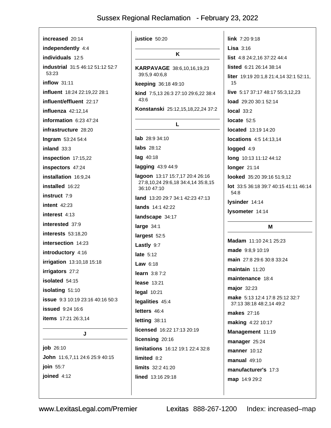| increased 20:14                         | justice 50:20                                     | <b>link</b> $7:209:18$                                     |
|-----------------------------------------|---------------------------------------------------|------------------------------------------------------------|
| independently 4:4                       |                                                   | <b>Lisa</b> $3:16$                                         |
| individuals 12:5                        | K                                                 | list 4:8 24:2,16 37:22 44:4                                |
| <b>industrial</b> 31:5 46:12 51:12 52:7 | KARPAVAGE 38:6,10,16,19,23                        | listed 6:21 26:14 38:14                                    |
| 53:23                                   | 39:5,9 40:6,8                                     | liter 19:19 20:1,8 21:4,14 32:1 52:11,                     |
| $inflow$ 31:11                          | keeping 36:18 49:10                               | 15                                                         |
| influent 18:24 22:19,22 28:1            | kind 7:5,13 26:3 27:10 29:6,22 38:4<br>43:6       | live 5:17 37:17 48:17 55:3,12,23                           |
| influent/effluent 22:17                 | Konstanski 25:12,15,18,22,24 37:2                 | <b>load</b> 29:20 30:1 52:14                               |
| influenza $42:12,14$                    |                                                   | local $33:2$                                               |
| information $6:23$ 47:24                | L                                                 | locate $52:5$                                              |
| infrastructure 28:20                    |                                                   | <b>located</b> 13:19 14:20                                 |
| Ingram 53:24 54:4                       | $lab$ 28:9 34:10                                  | locations 4:5 14:13,14                                     |
| inland $33:3$                           | <b>labs</b> 28:12                                 | logged 4:9                                                 |
| inspection 17:15,22                     | lag 40:18                                         | long 10:13 11:12 44:12                                     |
| inspectors 47:24                        | lagging 43:9 44:9                                 | longer 21:14                                               |
| installation 16:9,24                    | lagoon 13:17 15:7,17 20:4 26:16                   | looked 35:20 39:16 51:9,12                                 |
| installed 16:22                         | 27:8,10,24 29:6,18 34:4,14 35:8,15<br>36:10 47:10 | lot 33:5 36:18 39:7 40:15 41:11 46:14                      |
| <b>instruct</b> 7:9                     | land 13:20 29:7 34:1 42:23 47:13                  | 54:8                                                       |
| $intent$ 42:23                          | lands 14:1 42:22                                  | lysinder 14:14                                             |
| interest $4:13$                         | landscape 34:17                                   | lysometer 14:14                                            |
| interested 37:9                         | large $34:1$                                      | Μ                                                          |
| <b>interests</b> 53:18,20               | largest 52:5                                      |                                                            |
| intersection 14:23                      | Lastly 9:7                                        | Madam 11:10 24:1 25:23                                     |
| introductory 4:16                       | late $5:12$                                       | made 9:8,9 10:19                                           |
| <b>irrigation</b> 13:10,18 15:18        | Law $6:18$                                        | main 27:8 29:6 30:8 33:24                                  |
| irrigators 27:2                         | <b>learn</b> $3:87:2$                             | maintain 11:20                                             |
| <b>isolated</b> 54:15                   | lease 13:21                                       | maintenance 18:4                                           |
| isolating 51:10                         | legal 10:21                                       | major 32:23                                                |
| <b>issue</b> 9:3 10:19 23:16 40:16 50:3 | legalities 45:4                                   | make 5:13 12:4 17:8 25:12 32:7<br>37:13 38:18 48:2,14 49:2 |
| <b>issued</b> 9:24 16:6                 | letters 46:4                                      | <b>makes</b> 27:16                                         |
| items 17:21 26:3,14                     | letting 38:11                                     | making 4:22 10:17                                          |
| J                                       | licensed 16:22 17:13 20:19                        | Management 11:19                                           |
|                                         | licensing 20:16                                   | manager 25:24                                              |
|                                         | limitations 16:12 19:1 22:4 32:8                  |                                                            |
| <b>job</b> 26:10                        |                                                   |                                                            |
| John 11:6,7,11 24:6 25:9 40:15          | limited 8:2                                       | <b>manner</b> 10:12                                        |
| join 55:7                               | limits 32:2 41:20                                 | $manual 49:10$<br>manufacturer's 17:3                      |

map 14:9 29:2

46:14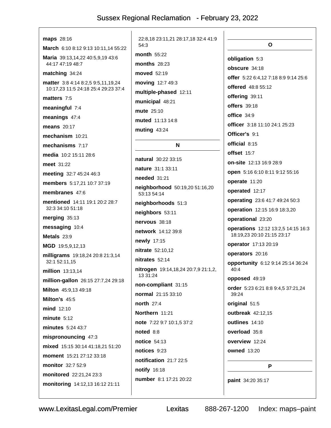| <b>maps</b> 28:16                                                                | 22:8,18 23:11,21 28:17,18 32:4 41:9             |
|----------------------------------------------------------------------------------|-------------------------------------------------|
| March 6:10 8:12 9:13 10:11,14 55:22                                              | 54:3                                            |
| Maria 39:13,14,22 40:5,9,19 43:6<br>44:17 47:19 48:7                             | month 55:22<br>months $28:23$                   |
| matching 34:24                                                                   | moved 52:19                                     |
|                                                                                  | moving 12:7 49:3                                |
| <b>matter</b> 3:8 4:14 8:2,5 9:5,11,19,24<br>10:17,23 11:5 24:18 25:4 29:23 37:4 | multiple-phased 12:11                           |
| matters 7:5                                                                      | municipal 48:21                                 |
| meaningful 7:4                                                                   | <b>mute</b> 25:10                               |
| meanings 47:4                                                                    | <b>muted</b> 11:13 14:8                         |
| <b>means</b> 20:17                                                               | muting 43:24                                    |
| mechanism 10:21                                                                  |                                                 |
| mechanisms 7:17                                                                  | N                                               |
| media 10:2 15:11 28:6                                                            | natural 30:22 33:15                             |
| meet 31:22                                                                       | nature 31:1 33:11                               |
| meeting 32:7 45:24 46:3                                                          | needed 31:21                                    |
| members 5:17,21 10:7 37:19                                                       | neighborhood 50:19,20 51:16,20                  |
| membranes 47:6                                                                   | 53:13 54:14                                     |
| <b>mentioned</b> 14:11 19:1 20:2 28:7<br>32:3 34:10 51:18                        | neighborhoods 51:3                              |
| merging 35:13                                                                    | neighbors 53:11                                 |
| messaging 10:4                                                                   | nervous 38:18                                   |
| Metals $23:9$                                                                    | <b>network</b> 14:12 39:8                       |
| MGD 19:5,9,12,13                                                                 | newly 17:15                                     |
| milligrams 19:18,24 20:8 21:3,14                                                 | nitrate 52:10,12                                |
| 32:1 52:11,15                                                                    | nitrates 52:14                                  |
| million 13:13,14                                                                 | nitrogen 19:14,18,24 20:7,9 21:1,2,<br>13 31:24 |
| million-gallon 26:15 27:7,24 29:18                                               | non-compliant 31:15                             |
| Milton 45:9,13 49:18                                                             | normal 21:15 33:10                              |
| Milton's 45:5                                                                    | <b>north</b> 27:4                               |
| mind 12:10                                                                       | Northern 11:21                                  |
| minute $5:12$                                                                    | note 7:22 9:7 10:1,5 37:2                       |
| minutes 5:24 43:7                                                                | noted 8:8                                       |
| mispronouncing 47:3                                                              | notice 54:13                                    |
| mixed 15:15 30:14 41:18,21 51:20                                                 | notices 9:23                                    |
| <b>moment</b> 15:21 27:12 33:18                                                  | notification 21:7 22:5                          |
| monitor 32:7 52:9                                                                | notify 16:18                                    |
| monitored 22:21,24 23:3                                                          | number 8:1 17:21 20:22                          |
| monitoring 14:12,13 16:12 21:11                                                  |                                                 |
|                                                                                  |                                                 |

 $\Omega$ obligation 5:3 obscure 34:18 offer 5:22 6:4,12 7:18 8:9 9:14 25:6 offered 48:8 55:12 offering 39:11 offers 39:18 office  $34:9$ officer 3:18 11:10 24:1 25:23 Officer's 9:1 official 8:15 offset  $15.7$ on-site 12:13 16:9 28:9 open 5:16 6:10 8:11 9:12 55:16 operate 11:20 operated 12:17 operating 23:6 41:7 49:24 50:3 operation 12:15 16:9 18:3,20 operational 23:20 operations 12:12 13:2,5 14:15 16:3 18:19,23 20:10 21:15 23:17 operator 17:13 20:19 operators 20:16 opportunity 6:12 9:14 25:14 36:24 40:4 opposed 49:19 order 5:23 6:21 8:8 9:4,5 37:21,24 39:24 original 51:5 outbreak 42:12,15 outlines 14:10 overload 35:8 overview 12:24 **owned** 13:20 P paint 34:20 35:17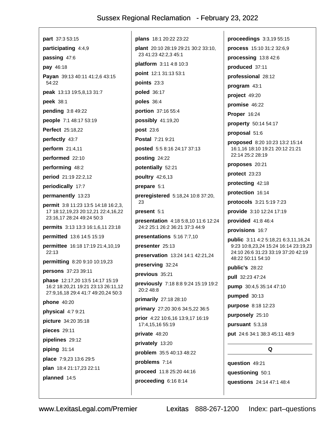part 37:3 53:15 participating 4:4,9 passing 47:6 pay 46:18 Payan 39:13 40:11 41:2,6 43:15 54:22 peak 13:13 19:5,8,13 31:7 peek 38:1 pending 3:8 49:22 **people** 7:1 48:17 53:19 **Perfect** 25:18.22 perfectly 43:7 perform 21:4,11 performed 22:10 performing 48:2 period 21:19 22:2,12 periodically 17:7 permanently 13:23 permit 3:8 11:23 13:5 14:18 16:2,3, 17 18:12,19,23 20:12,21 22:4,16,22 23:16,17 28:24 49:24 50:3 permits 3:13 13:3 16:1,6,11 23:18 permitted 13:6 14:5 15:19 permittee 16:18 17:19 21:4,10,19 22:13 permitting 8:20 9:10 10:19,23 persons 37:23 39:11 phase 12:17,20 13:5 14:17 15:19 16:2 18:20,21 19:21 23:13 26:11,12 27:9,16,18 29:4 41:7 49:20,24 50:3 **phone** 40:20 physical 4:7 9:21 picture 34:20 35:18 pieces 29:11 pipelines 29:12 piping  $31:14$ place 7:9,23 13:6 29:5 plan 18:4 21:17,23 22:11 planned 14:5

plans 18:1 20:22 23:22 plant 20:10 28:19 29:21 30:2 33:10, 23 41:23 42:2.3 45:1 **platform**  $3:114:810:3$ point 12:1 31:13 53:1 points 23:3 poled 36:17 poles 36:4 portion 37:16 55:4 possibly  $41:19,20$ **post 23:6** Postal 7:21 9:21 posted 5:5 8:16 24:17 37:13 posting 24:22 potentially 52:21 poultry 42:6,13 prepare 5:1 preregistered 5:18,24 10:8 37:20, 23 present 5:1 presentation 4:18 5:8,10 11:6 12:24 24:2 25:1 26:2 36:21 37:3 44:9 presentations  $5:167:7,10$ presenter 25:13 preservation 13:24 14:1 42:21,24 preserving 32:24 previous 35:21 previously 7:18 8:8 9:24 15:19 19:2 20:2 48:8 primarily 27:18 28:10 primary 27:20 30:6 34:5,22 36:5 prior 4:22 10:6.16 13:9.17 16:19 17:4,15,16 55:19 private 48:20 privately 13:20 problem 35:5 40:13 48:22 problems 7:14 proceed 11:8 25:20 44:16 proceeding 6:16 8:14

proceedings 3:3,19 55:15 process 15:10 31:2 32:6,9 processing 13:8 42:6 produced 37:11 professional 28:12 program 43:1 project 49:20 promise 46:22 **Proper 16:24** property 50:14 54:17 proposal 51:6 proposed 8:20 10:23 13:2 15:14 16:1,16 18:10 19:21 20:12 21:21 22:14 25:2 28:19 proposes 20:21 protect 23:23 protecting 42:18 protection 16:14 protocols 3:21 5:19 7:23 provide 3:10 12:24 17:19 provided  $41:846:4$ provisions 16:7 public 3:11 4:2 5:18,21 6:3,11,16,24 9:23 10:8,23,24 15:24 16:14 23:19,23 24:10 26:6 31:23 33:19 37:20 42:19 48:22 50:11 54:10 public's 28:22 pull 32:23 47:24 pump 30:4,5 35:14 47:10 pumped  $30:13$ purpose 8:18 12:23 purposely 25:10 pursuant 5:3,18 **put** 24:6 34:1 38:3 45:11 48:9  $\Omega$ 

question 49:21 questioning 50:1 questions 24:14 47:1 48:4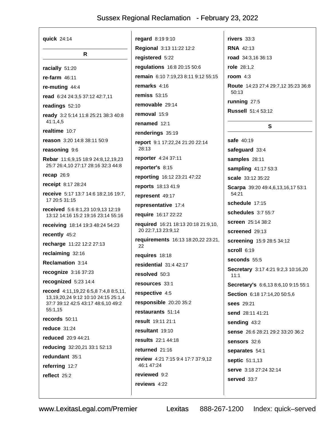| quick 24:14                                                                       | regard 8:19 9:10                                          | rivers $33:3$                              |
|-----------------------------------------------------------------------------------|-----------------------------------------------------------|--------------------------------------------|
|                                                                                   | Regional 3:13 11:22 12:2                                  | <b>RNA 42:13</b>                           |
| R.                                                                                | registered 5:22                                           | road 34:3,16 36:13                         |
| racially 51:20                                                                    | regulations 16:8 20:15 50:6                               | role $28:1,2$                              |
| re-farm $46:11$                                                                   | remain 6:10 7:19,23 8:11 9:12 55:15                       | room $4:3$                                 |
| re-muting 44:4                                                                    | remarks 4:16                                              | <b>Route</b> 14:23 27:4 29:7,12 35:23 36:8 |
| read 6:24 24:3,5 37:12 42:7,11                                                    | remiss $53:15$                                            | 50:13                                      |
| readings 52:10                                                                    | removable 29:14                                           | running 27:5                               |
| ready 3:2 5:14 11:8 25:21 38:3 40:8                                               | removal $15:9$                                            | <b>Russell</b> 51:4 53:12                  |
| 41:1,4,5                                                                          | renamed 12:1                                              | S                                          |
| realtime 10:7                                                                     | renderings 35:19                                          |                                            |
| reason 3:20 14:8 38:11 50:9                                                       | report 9:1 17:22,24 21:20 22:14                           | safe 40:19                                 |
| reasoning 9:6                                                                     | 28:13                                                     | safeguard 33:4                             |
| Rebar 11:6,9,15 18:9 24:8,12,19,23                                                | reporter 4:24 37:11                                       | samples 28:11                              |
| 25:7 26:4,10 27:17 28:16 32:3 44:8                                                | reporter's 8:15                                           | sampling 41:17 53:3                        |
| recap 26:9                                                                        | reporting 16:12 23:21 47:22                               | <b>scale</b> 33:12 35:22                   |
| receipt 8:17 28:24                                                                | reports 18:13 41:9                                        | Scarpa 39:20 49:4,6,13,16,17 53:1<br>54:21 |
| receive 5:17 13:7 14:6 18:2,16 19:7,<br>17 20:5 31:15                             | represent 49:17                                           |                                            |
| received 5:6 8:1,23 10:9,13 12:19                                                 | representative 17:4                                       | schedule 17:15                             |
| 13:12 14:16 15:2 19:16 23:14 55:16                                                | require 16:17 22:22                                       | schedules 3:7 55:7                         |
| receiving 18:14 19:3 48:24 54:23                                                  | required 16:21 18:13 20:18 21:9,10,<br>20 22:7,13 23:9,12 | screen 25:14 38:2                          |
| recently 45:2                                                                     | requirements 16:13 18:20,22 23:21,                        | screened 29:13                             |
| recharge 11:22 12:2 27:13                                                         | 22                                                        | screening 15:9 28:5 34:12                  |
| reclaiming 32:16                                                                  | requires 18:18                                            | scroll 6:19                                |
| Reclamation 3:14                                                                  | residential $31:442:17$                                   | seconds $55:5$                             |
| recognize 3:16 37:23                                                              | resolved 50:3                                             | Secretary 3:17 4:21 9:2,3 10:16,20<br>11:1 |
| recognized 5:23 14:4                                                              | resources 33:1                                            | Secretary's 6:6,13 8:6,10 9:15 55:1        |
| record 4:11,19,22 6:5,8 7:4,8 8:5,11,                                             | respective 4:5                                            | Section 6:18 17:14,20 50:5,6               |
| 13, 19, 20, 24 9: 12 10: 10 24: 15 25: 1, 4<br>37:7 39:12 42:5 43:17 48:6,10 49:2 | responsible 20:20 35:2                                    | <b>sees</b> 29:21                          |
| 55:1,15                                                                           | restaurants 51:14                                         | send 28:11 41:21                           |
| records 50:11                                                                     | <b>result</b> 19:11 21:1                                  | sending 43:2                               |
| reduce $31:24$                                                                    | resultant 19:10                                           | <b>sense</b> 26:6 28:21 29:2 33:20 36:2    |
| reduced 20:9 44:21                                                                | results 22:1 44:18                                        | sensors 32:6                               |
| reducing 32:20,21 33:1 52:13                                                      | returned 21:16                                            | separates 54:1                             |
| redundant 35:1                                                                    | <b>review</b> 4:21 7:15 9:4 17:7 37:9,12                  | <b>septic</b> 51:1,13                      |
| referring 12:7                                                                    | 46:1 47:24                                                | serve 3:18 27:24 32:14                     |
| reflect 25:2                                                                      | reviewed 9:2                                              | served 33:7                                |
|                                                                                   | reviews 4:22                                              |                                            |
|                                                                                   |                                                           |                                            |

Lexitas 888-267-1200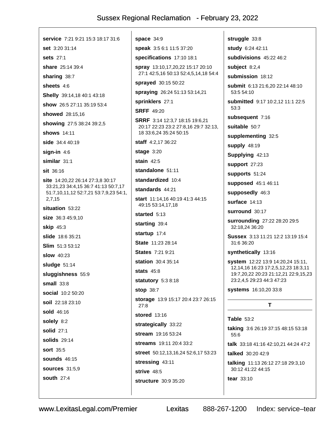service 7:21 9:21 15:3 18:17 31:6 set 3:20 31:14 sets 27:1 share 25:14 39:4 sharing 38:7 sheets 4:6 Shelly 39:14,18 40:1 43:18 show 26:5 27:11 35:19 53:4 showed 28:15.16 showing 27:5 38:24 39:2,5 shows 14:11 side 34:4 40:19 sign-in  $4:6$ similar 31:1 sit 36:16 site 14:20,22 26:14 27:3,8 30:17 33:21,23 34:4,15 36:7 41:13 50:7,17 51:7,10,11,12 52:7,21 53:7,9,23 54:1, 2,7,15 situation 53:22 size 36:3 45:9,10 **skip** 45:3 slide 18:6 35:21 Slim 51:3 53:12 **slow** 40:23 sludge 51:14 sluggishness 55:9  $small 33:8$ social 10:2 50:20 soil 22:18 23:10 sold 46:16 solely 8:2 solid 27:1 solids 29:14 **sort** 35:5 **sounds** 46:15 **sources** 31:5.9 **south 27:4** 

space  $34:9$ speak 3:5 6:1 11:5 37:20 specifications 17:10 18:1 spray 13:10,17,20,22 15:17 20:10 27:1 42:5,16 50:13 52:4,5,14,18 54:4 sprayed 30:15 50:22 spraying 26:24 51:13 53:14,21 sprinklers 27:1 **SRFF** 49:20 SRRF 3:14 12:3,7 18:15 19:6,21 20:17 22:23 23:2 27:8,16 29:7 32:13, 18 33:6.24 35:24 50:15 staff 4:2,17 36:22 stage 3:20 stain  $42:5$ standalone 51:11 standardized 10:4 standards 44:21 start 11:14,16 40:19 41:3 44:15 49:15 53:14,17,18 started 5:13 starting 39:4 startup 17:4 State 11:23 28:14 **States 7:21 9:21** station 30:4 35:14 **stats** 45:8 statutory 5:3 8:18 stop 38:7 storage 13:9 15:17 20:4 23:7 26:15  $27.8$ stored 13:16 strategically 33:22 stream 19:16 53:24 streams 19:11 20:4 33:2 street 50:12,13,16,24 52:6,17 53:23 stressing 43:11 strive 48:5 structure 30:9 35:20

struggle 33:8 study 6:24 42:11 subdivisions 45:22 46:2 subject  $8:2.4$ submission 18:12 submit 6:13 21:6,20 22:14 48:10 53:5 54:10 submitted 9:17 10:2,12 11:1 22:5  $53:3$ subsequent 7:16 suitable 50:7 supplementing 32:5 supply 48:19 Supplying 42:13 support 27:23 supports 51:24 supposed 45:1 46:11 supposedly 46:3 surface 14:13 surround 30:17 surrounding 27:22 28:20 29:5 32:18,24 36:20 Sussex 3:13 11:21 12:2 13:19 15:4 31:6 36:20 synthetically 13:16 system 12:22 13:9 14:20,24 15:11, 12, 14, 16 16: 23 17: 2, 5, 12, 23 18: 3, 11 19:7,20,22 20:23 21:12,21 22:9,15,23 23:2,4,5 29:23 44:3 47:23 systems 16:10,20 33:8 T. **Table 53:2** taking 3:6 26:19 37:15 48:15 53:18 55:6 talk 33:18 41:16 42:10.21 44:24 47:2 talked 30:20 42:9 talking 11:13 26:12 27:18 29:3,10 30:12 41:22 44:15

tear  $33:10$ 

Index: service-tear

Lexitas

888-267-1200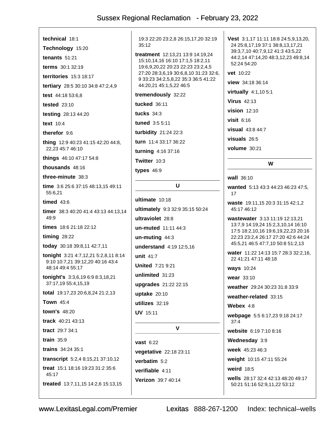technical 18:1 Technology 15:20 tenants  $51:21$ terms 30:1 32:19 territories 15:3 18:17 tertiary 28:5 30:10 34:8 47:2,4,9 test 44:18 53:6,8 tested  $23:10$ testing 28:13 44:20 text 10:4 therefor 9:6 thing 12:9 40:23 41:15 42:20 44:8, 22,23 45:7 46:10 things 46:10 47:17 54:8 thousands 48:16 three-minute 38:3 time 3:6 25:6 37:15 48:13,15 49:11 55:6,21 timed  $43:6$ timer 38:3 40:20 41:4 43:13 44:13.14 49:9 times 18:6 21:18 22:12 timing  $28:22$ today 30:18 39:8,11 42:7,11 tonight 3:21 4:7,12,21 5:2,8,11 8:14 9:10 10:7,21 39:12,20 40:16 43:4 48:14 49:4 55:17 tonight's 3:3,6,19 6:9 8:3,18,21 37:17,19 55:4,15,19 total 19:17,23 20:6,8,24 21:2,13 **Town 45:4** town's  $48:20$ track 40:21 43:13 tract 29:7 34:1 train  $35:9$ trains 34:24 35:1 transcript 5:2,4 8:15,21 37:10,12 treat 15:1 18:16 19:23 31:2 35:6  $45.17$ treated 13:7,11,15 14:2,6 15:13,15

19:3 22:20 23:2,8 26:15,17,20 32:19  $35:12$ 

treatment 12:13.21 13:9 14:19.24 15:10,14,16 16:10 17:1,5 18:2,11 19:6,9,20,22 20:23 22:23 23:2,4,5 27:20 28:3,6,19 30:6,8,10 31:23 32:6, 9 33:23 34:2,5,8,22 35:3 36:5 41:22 44:20,21 45:1,5,22 46:5

tremendously 32:22

tucked 36:11

tucks  $34:3$ 

funed  $3:5.5:11$ 

turbidity 21:24 22:3

turn 11:4 33:17 36:22

turning 4:16 37:16

Twitter 10:3

types  $46:9$ 

#### $\mathbf{U}$

ultimate 10:18 **ultimately** 9:3 32:9 35:15 50:24 ultraviolet 28:8 un-muted 11:11 44:3  $un$ -muting  $44:3$ understand 4:19 12:5,16 unit 41:7 **United 7:21 9:21** unlimited 31:23 upgrades 21:22 22:15 uptake 20:10 utilizes 32:19 **UV** 15:11  $\mathbf v$ 

**vast 6:22** vegetative 22:18 23:11 verbatim  $5:2$ verifiable 4:11 Verizon 39:7 40:14

Vest 3:1,17 11:11 18:8 24:5,9,13,20, 24 25:8,17,19 37:1 38:8,13,17,21 39:3.7.10 40:7.9.12 41:3 43:5.22 44:2,14 47:14,20 48:3,12,23 49:8,14 52:24 54:20

vet 10:22

view 34:18 36:14

virtually 4:1,10 5:1

**Virus 42:13** 

vision 12:10

visit  $6:16$ 

visual 43:8 44:7

visuals 26:5

**volume** 30:21

#### W

wall 36:10

wanted 5:13 43:3 44:23 46:23 47:5, 17

waste 19:11,15 20:3 31:15 42:1,2 45:17 46:12

wastewater 3:13 11:19 12:13,21 13:7,9 14:19,24 15:2,3,10,14 16:10 17:5 18:2,10,16 19:6,19,22,23 20:16 22:23 23:2,4 26:17 27:20 42:6 44:24 45:5,21 46:5 47:7,10 50:8 51:2,13

water 11:22 14:13 15:7 28:3 32:2,16, 22 41:21 47:11 48:18

**ways** 10:24

wear 33:10

weather 29:24 30:23 31:8 33:9

weather-related 33:15

Webex 4:8

webpage 5:5 6:17,23 9:18 24:17  $37.4$ 

website 6:19 7:10 8:16

Wednesday 3:9

week 45:23 46:3

weight 10:15 47:11 55:24

weird 18:5

wells 28:17 32:4 42:13 48:20 49:17 50:21 51:16 52:9,11,22 53:12